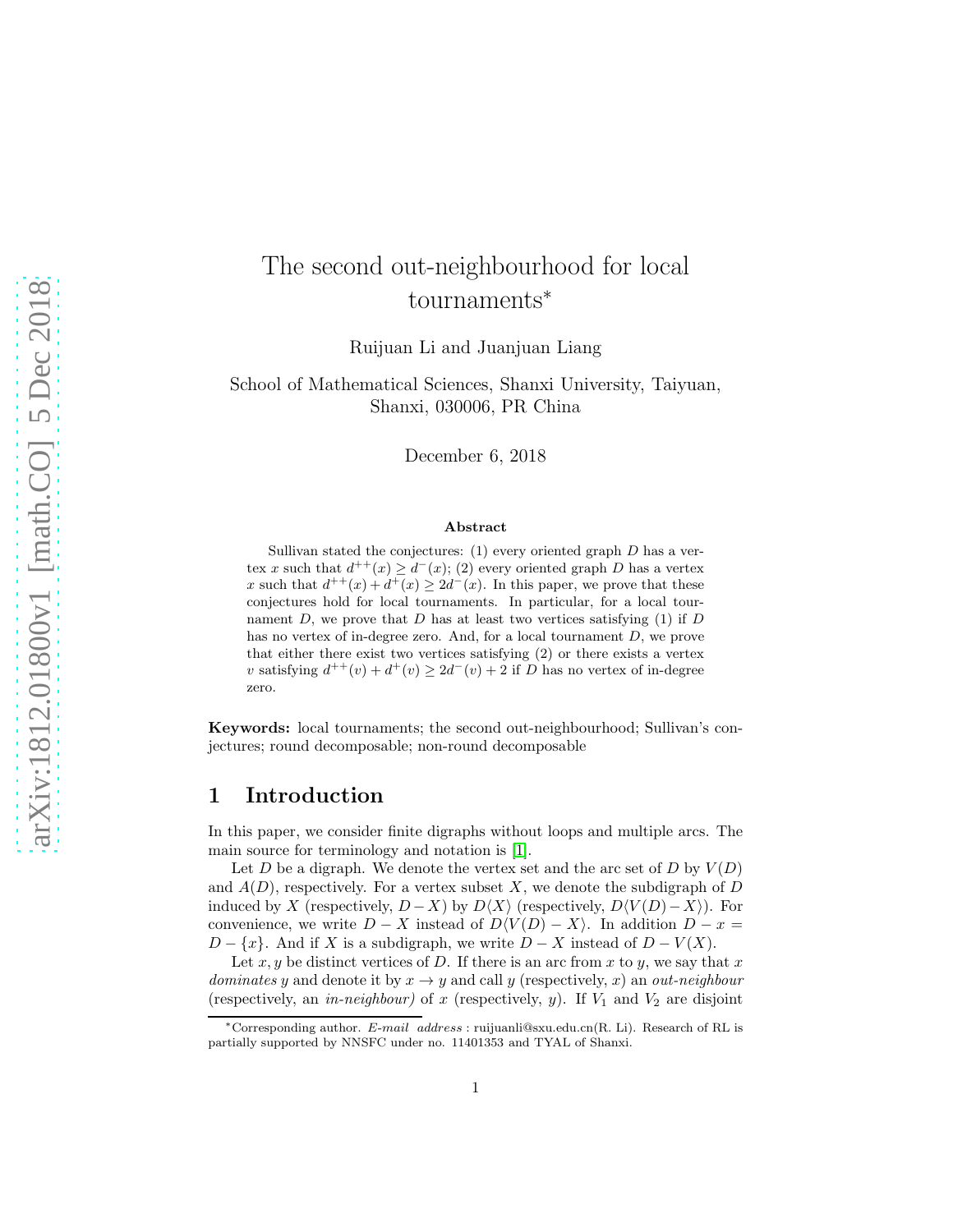# The second out-neighbourhood for local tournaments<sup>∗</sup>

Ruijuan Li and Juanjuan Liang

School of Mathematical Sciences, Shanxi University, Taiyuan, Shanxi, 030006, PR China

December 6, 2018

#### Abstract

Sullivan stated the conjectures:  $(1)$  every oriented graph  $D$  has a vertex x such that  $d^{++}(x) \geq d^{-}(x)$ ; (2) every oriented graph D has a vertex x such that  $d^{++}(x) + d^{+}(x) \geq 2d^{-}(x)$ . In this paper, we prove that these conjectures hold for local tournaments. In particular, for a local tournament D, we prove that D has at least two vertices satisfying  $(1)$  if D has no vertex of in-degree zero. And, for a local tournament D, we prove that either there exist two vertices satisfying (2) or there exists a vertex v satisfying  $d^{++}(v) + d^+(v) \geq 2d^-(v) + 2$  if D has no vertex of in-degree zero.

Keywords: local tournaments; the second out-neighbourhood; Sullivan's conjectures; round decomposable; non-round decomposable

### 1 Introduction

In this paper, we consider finite digraphs without loops and multiple arcs. The main source for terminology and notation is [\[1\]](#page-16-0).

Let D be a digraph. We denote the vertex set and the arc set of D by  $V(D)$ and  $A(D)$ , respectively. For a vertex subset X, we denote the subdigraph of D induced by X (respectively,  $D - X$ ) by  $D\langle X \rangle$  (respectively,  $D\langle V(D) - X \rangle$ ). For convenience, we write  $D - X$  instead of  $D\langle V(D) - X \rangle$ . In addition  $D - x =$  $D - \{x\}$ . And if X is a subdigraph, we write  $D - X$  instead of  $D - V(X)$ .

Let x, y be distinct vertices of D. If there is an arc from x to y, we say that x *dominates* y and denote it by  $x \to y$  and call y (respectively, x) an *out-neighbour* (respectively, an *in-neighbour*) of x (respectively, y). If  $V_1$  and  $V_2$  are disjoint

<sup>\*</sup>Corresponding author. E-mail address : ruijuanli@sxu.edu.cn(R. Li). Research of RL is partially supported by NNSFC under no. 11401353 and TYAL of Shanxi.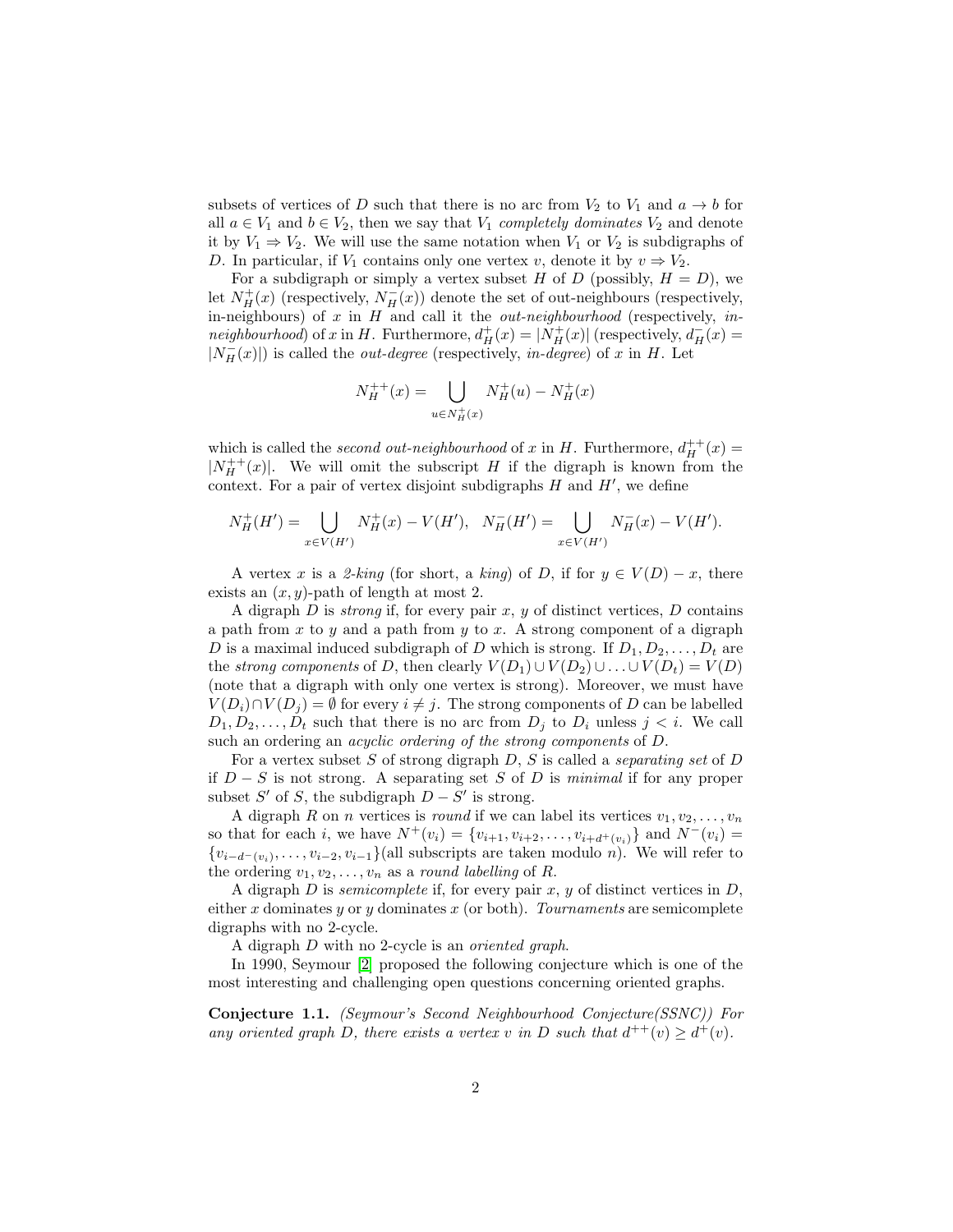subsets of vertices of D such that there is no arc from  $V_2$  to  $V_1$  and  $a \to b$  for all  $a \in V_1$  and  $b \in V_2$ , then we say that  $V_1$  *completely dominates*  $V_2$  and denote it by  $V_1 \Rightarrow V_2$ . We will use the same notation when  $V_1$  or  $V_2$  is subdigraphs of D. In particular, if  $V_1$  contains only one vertex v, denote it by  $v \Rightarrow V_2$ .

For a subdigraph or simply a vertex subset H of D (possibly,  $H = D$ ), we let  $N_H^+(x)$  (respectively,  $N_H^-(x)$ ) denote the set of out-neighbours (respectively, in-neighbours) of x in H and call it the *out-neighbourhood* (respectively, *inneighbourhood*) of x in H. Furthermore,  $d^+_H(x) = |\dot{N}_H^+(x)|$  (respectively,  $d^-_H(x)$ )  $|N_H(x)|$ ) is called the *out-degree* (respectively, *in-degree*) of x in H. Let

$$
N_H^{++}(x) = \bigcup_{u \in N_H^{+}(x)} N_H^{+}(u) - N_H^{+}(x)
$$

which is called the *second out-neighbourhood* of x in H. Furthermore,  $d_H^{++}(x)$  =  $|N_H^{++}(x)|$ . We will omit the subscript H if the digraph is known from the context. For a pair of vertex disjoint subdigraphs  $H$  and  $H'$ , we define

$$
N_H^+(H') = \bigcup_{x \in V(H')} N_H^+(x) - V(H'), \quad N_H^-(H') = \bigcup_{x \in V(H')} N_H^-(x) - V(H').
$$

A vertex x is a 2-king (for short, a king) of D, if for  $y \in V(D) - x$ , there exists an  $(x, y)$ -path of length at most 2.

A digraph D is *strong* if, for every pair x, y of distinct vertices, D contains a path from  $x$  to  $y$  and a path from  $y$  to  $x$ . A strong component of a digraph D is a maximal induced subdigraph of D which is strong. If  $D_1, D_2, \ldots, D_t$  are the *strong components* of D, then clearly  $V(D_1) \cup V(D_2) \cup ... \cup V(D_t) = V(D)$ (note that a digraph with only one vertex is strong). Moreover, we must have  $V(D_i) \cap V(D_j) = \emptyset$  for every  $i \neq j$ . The strong components of D can be labelled  $D_1, D_2, \ldots, D_t$  such that there is no arc from  $D_j$  to  $D_i$  unless  $j < i$ . We call such an ordering an *acyclic ordering of the strong components* of D.

For a vertex subset S of strong digraph D, S is called a *separating set* of D if D − S is not strong. A separating set S of D is *minimal* if for any proper subset  $S'$  of  $S$ , the subdigraph  $D - S'$  is strong.

A digraph R on n vertices is *round* if we can label its vertices  $v_1, v_2, \ldots, v_n$ so that for each i, we have  $N^+(v_i) = \{v_{i+1}, v_{i+2}, \ldots, v_{i+d+(v_i)}\}$  and  $N^-(v_i) =$  ${v_{i-d^-(v_i)}, \ldots, v_{i-2}, v_{i-1}}$ (all subscripts are taken modulo *n*). We will refer to the ordering  $v_1, v_2, \ldots, v_n$  as a *round labelling* of R.

A digraph  $D$  is *semicomplete* if, for every pair  $x, y$  of distinct vertices in  $D$ , either x dominates y or y dominates x (or both). *Tournaments* are semicomplete digraphs with no 2-cycle.

A digraph D with no 2-cycle is an *oriented graph*.

In 1990, Seymour [\[2\]](#page-16-1) proposed the following conjecture which is one of the most interesting and challenging open questions concerning oriented graphs.

<span id="page-1-0"></span>Conjecture 1.1. *(Seymour's Second Neighbourhood Conjecture(SSNC)) For any oriented graph* D, there exists a vertex v in D such that  $d^{++}(v) \geq d^{+}(v)$ .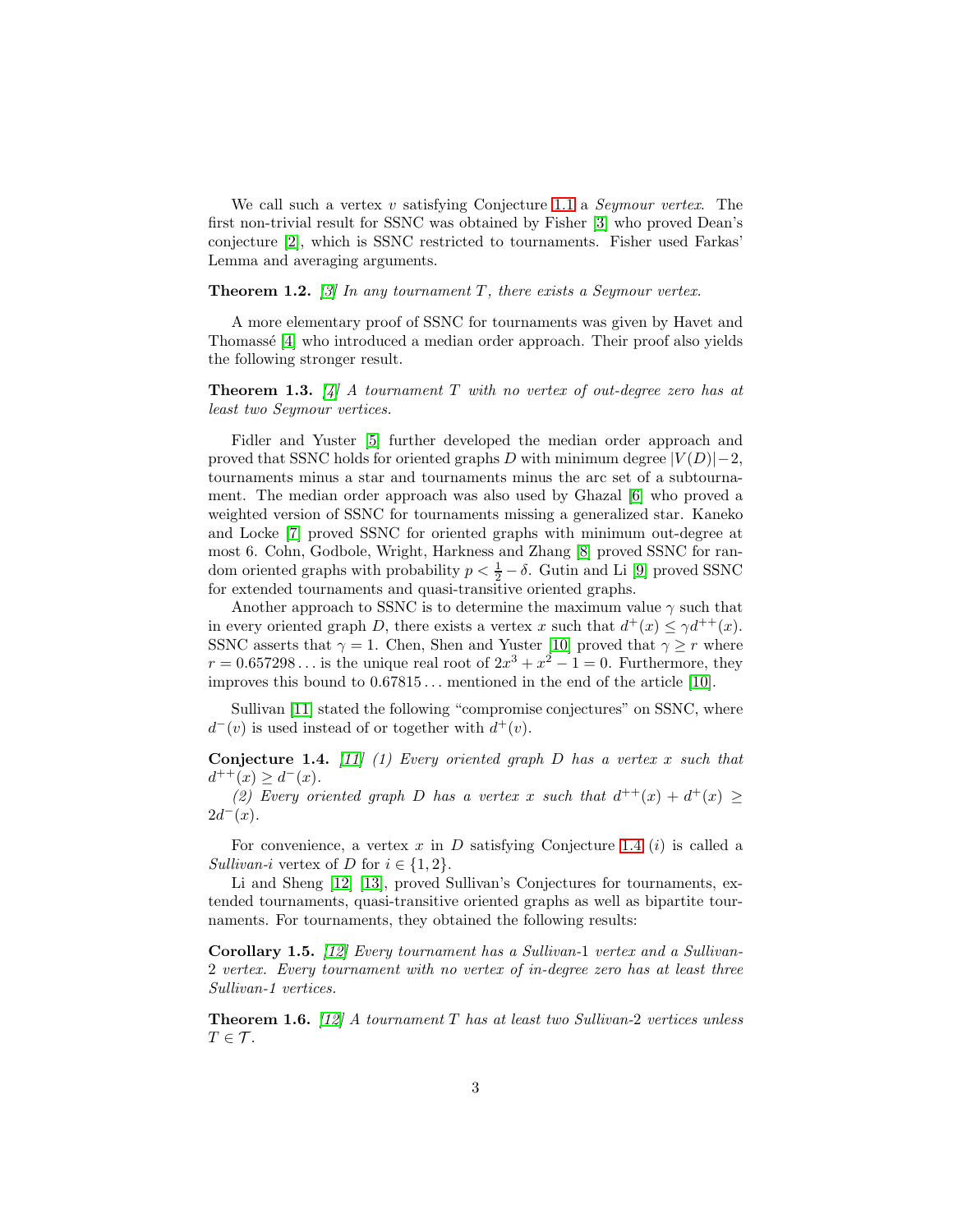We call such a vertex v satisfying Conjecture [1.1](#page-1-0) a *Seymour vertex*. The first non-trivial result for SSNC was obtained by Fisher [\[3\]](#page-16-2) who proved Dean's conjecture [\[2\]](#page-16-1), which is SSNC restricted to tournaments. Fisher used Farkas' Lemma and averaging arguments.

### **Theorem 1.2.** *[\[3\]](#page-16-2)* In any tournament  $T$ , there exists a Seymour vertex.

A more elementary proof of SSNC for tournaments was given by Havet and Thomassé [\[4\]](#page-16-3) who introduced a median order approach. Their proof also yields the following stronger result.

Theorem 1.3. *[\[4\]](#page-16-3) A tournament* T *with no vertex of out-degree zero has at least two Seymour vertices.*

Fidler and Yuster [\[5\]](#page-16-4) further developed the median order approach and proved that SSNC holds for oriented graphs D with minimum degree  $|V(D)|-2$ , tournaments minus a star and tournaments minus the arc set of a subtournament. The median order approach was also used by Ghazal [\[6\]](#page-16-5) who proved a weighted version of SSNC for tournaments missing a generalized star. Kaneko and Locke [\[7\]](#page-16-6) proved SSNC for oriented graphs with minimum out-degree at most 6. Cohn, Godbole, Wright, Harkness and Zhang [\[8\]](#page-16-7) proved SSNC for random oriented graphs with probability  $p < \frac{1}{2} - \delta$ . Gutin and Li [\[9\]](#page-16-8) proved SSNC for extended tournaments and quasi-transitive oriented graphs.

Another approach to SSNC is to determine the maximum value  $\gamma$  such that in every oriented graph D, there exists a vertex x such that  $d^+(x) \leq \gamma d^{++}(x)$ . SSNC asserts that  $\gamma = 1$ . Chen, Shen and Yuster [\[10\]](#page-17-0) proved that  $\gamma \geq r$  where  $r = 0.657298...$  is the unique real root of  $2x^3 + x^2 - 1 = 0$ . Furthermore, they improves this bound to  $0.67815...$  mentioned in the end of the article [\[10\]](#page-17-0).

Sullivan [\[11\]](#page-17-1) stated the following "compromise conjectures" on SSNC, where  $d^-(v)$  is used instead of or together with  $d^+(v)$ .

<span id="page-2-0"></span>Conjecture 1.4. *[\[11\]](#page-17-1) (1) Every oriented graph* D *has a vertex* x *such that*  $d^{++}(x) \geq d^{-}(x)$ .

(2) Every oriented graph D has a vertex x such that  $d^{++}(x) + d^{+}(x) \ge$  $2d^-(x)$ .

For convenience, a vertex  $x$  in  $D$  satisfying Conjecture [1.4](#page-2-0) (*i*) is called a *Sullivan-i* vertex of D for  $i \in \{1, 2\}$ .

Li and Sheng [12] [13], proved Sullivan's Conjectures for tournaments, extended tournaments, quasi-transitive oriented graphs as well as bipartite tournaments. For tournaments, they obtained the following results:

<span id="page-2-2"></span>Corollary 1.5. *[12] Every tournament has a Sullivan-*1 *vertex and a Sullivan-*2 *vertex. Every tournament with no vertex of in-degree zero has at least three Sullivan-1 vertices.*

<span id="page-2-1"></span>Theorem 1.6. *[12] A tournament* T *has at least two Sullivan-*2 *vertices unless*  $T \in \mathcal{T}$ *.*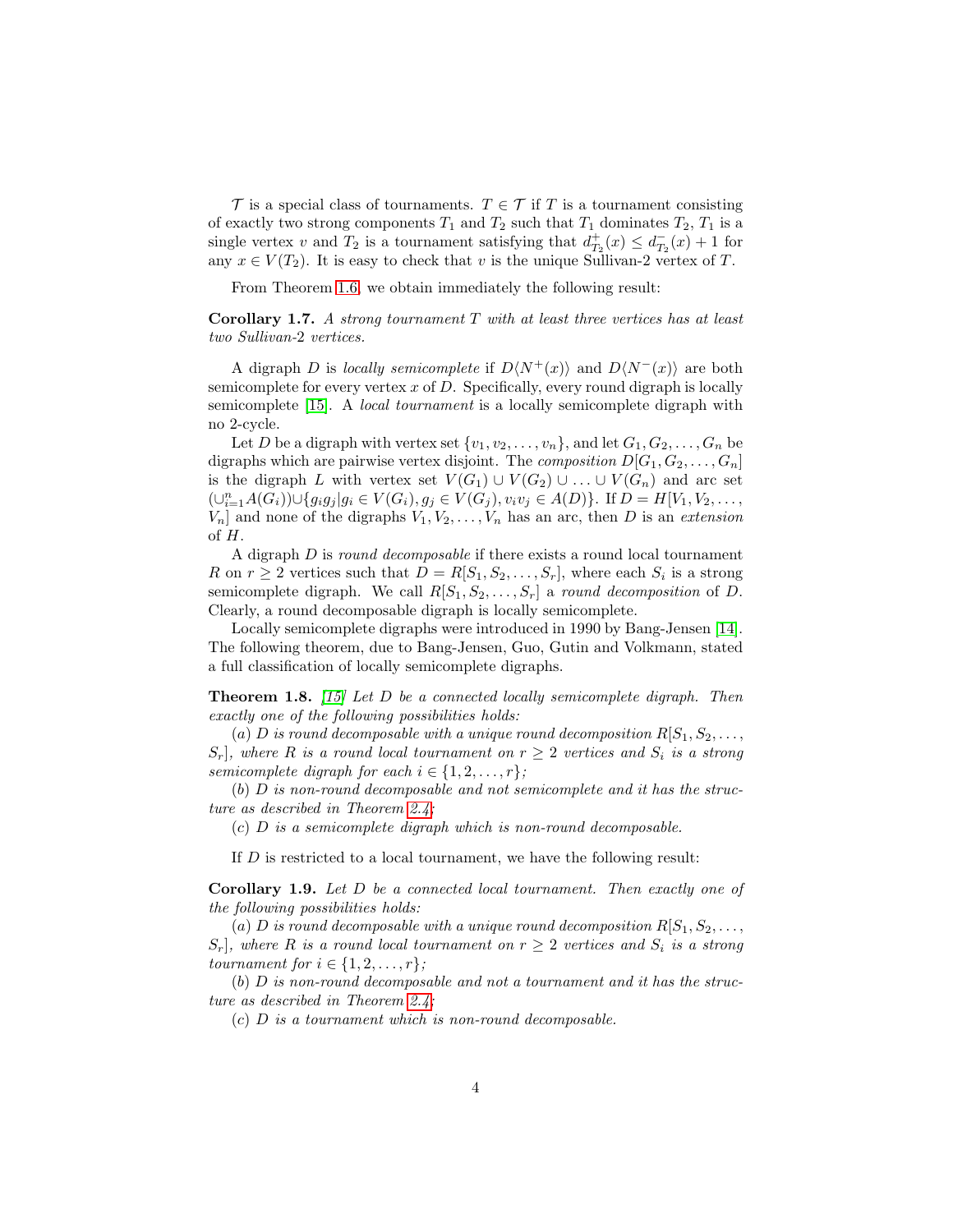T is a special class of tournaments.  $T \in \mathcal{T}$  if T is a tournament consisting of exactly two strong components  $T_1$  and  $T_2$  such that  $T_1$  dominates  $T_2$ ,  $T_1$  is a single vertex v and  $T_2$  is a tournament satisfying that  $d_{T_2}^+(x) \leq d_{T_2}^-(x) + 1$  for any  $x \in V(T_2)$ . It is easy to check that v is the unique Sullivan-2 vertex of T.

From Theorem [1.6,](#page-2-1) we obtain immediately the following result:

<span id="page-3-0"></span>Corollary 1.7. *A strong tournament* T *with at least three vertices has at least two Sullivan-*2 *vertices.*

A digraph D is *locally semicomplete* if  $D\langle N^+(x) \rangle$  and  $D\langle N^-(x) \rangle$  are both semicomplete for every vertex  $x$  of  $D$ . Specifically, every round digraph is locally semicomplete [15]. A *local tournament* is a locally semicomplete digraph with no 2-cycle.

Let D be a digraph with vertex set  $\{v_1, v_2, \ldots, v_n\}$ , and let  $G_1, G_2, \ldots, G_n$  be digraphs which are pairwise vertex disjoint. The *composition*  $D[G_1, G_2, \ldots, G_n]$ is the digraph L with vertex set  $V(G_1) \cup V(G_2) \cup \ldots \cup V(G_n)$  and arc set  $(\cup_{i=1}^{n} A(G_i)) \cup \{g_i g_j | g_i \in V(G_i), g_j \in V(G_j), v_i v_j \in A(D) \}.$  If  $D = H[V_1, V_2, \ldots, V_n]$  $V_n$  and none of the digraphs  $V_1, V_2, \ldots, V_n$  has an arc, then D is an *extension* of H.

A digraph D is *round decomposable* if there exists a round local tournament R on  $r \geq 2$  vertices such that  $D = R[S_1, S_2, \ldots, S_r]$ , where each  $S_i$  is a strong semicomplete digraph. We call  $R[S_1, S_2, \ldots, S_r]$  a *round decomposition* of D. Clearly, a round decomposable digraph is locally semicomplete.

Locally semicomplete digraphs were introduced in 1990 by Bang-Jensen [\[14\]](#page-17-2). The following theorem, due to Bang-Jensen, Guo, Gutin and Volkmann, stated a full classification of locally semicomplete digraphs.

Theorem 1.8. *[15] Let* D *be a connected locally semicomplete digraph. Then exactly one of the following possibilities holds:*

(a) D *is round decomposable with a unique round decomposition*  $R[S_1, S_2, \ldots, S_k]$  $S_r$ , where R is a round local tournament on  $r \geq 2$  vertices and  $S_i$  is a strong *semicomplete digraph for each*  $i \in \{1, 2, \ldots, r\}$ *;* 

(b) D *is non-round decomposable and not semicomplete and it has the structure as described in Theorem [2.4;](#page-5-0)*

(c) D *is a semicomplete digraph which is non-round decomposable.*

If D is restricted to a local tournament, we have the following result:

<span id="page-3-1"></span>Corollary 1.9. *Let* D *be a connected local tournament. Then exactly one of the following possibilities holds:*

(a) D is round decomposable with a unique round decomposition  $R[S_1, S_2, \ldots, S_k]$  $S_r$ , where R is a round local tournament on  $r \geq 2$  vertices and  $S_i$  is a strong *tournament for*  $i \in \{1, 2, \ldots, r\}$ *;* 

(b) D *is non-round decomposable and not a tournament and it has the structure as described in Theorem [2.4;](#page-5-0)*

(c) D *is a tournament which is non-round decomposable.*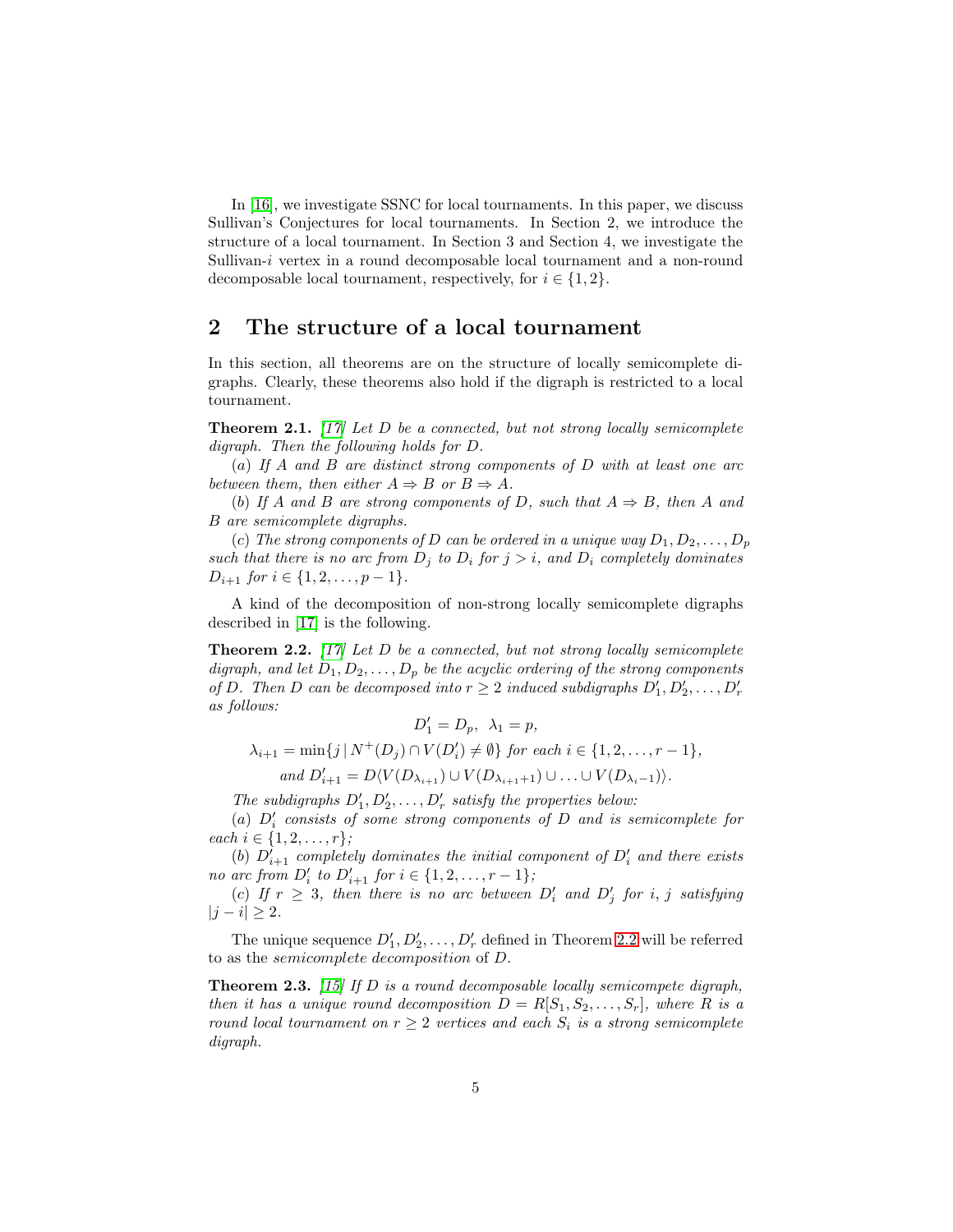In [16], we investigate SSNC for local tournaments. In this paper, we discuss Sullivan's Conjectures for local tournaments. In Section 2, we introduce the structure of a local tournament. In Section 3 and Section 4, we investigate the Sullivan-i vertex in a round decomposable local tournament and a non-round decomposable local tournament, respectively, for  $i \in \{1, 2\}$ .

# 2 The structure of a local tournament

In this section, all theorems are on the structure of locally semicomplete digraphs. Clearly, these theorems also hold if the digraph is restricted to a local tournament.

<span id="page-4-1"></span>Theorem 2.1. *[\[17\]](#page-17-3) Let* D *be a connected, but not strong locally semicomplete digraph. Then the following holds for* D*.*

(a) *If* A *and* B *are distinct strong components of* D *with at least one arc between them, then either*  $A \Rightarrow B$  *or*  $B \Rightarrow A$ *.* 

(b) If A and B are strong components of D, such that  $A \Rightarrow B$ , then A and B *are semicomplete digraphs.*

(c) The strong components of D can be ordered in a unique way  $D_1, D_2, \ldots, D_p$ *such that there is no arc from*  $D_j$  *to*  $D_i$  *for*  $j > i$ *, and*  $D_i$  *completely dominates*  $D_{i+1}$  *for*  $i \in \{1, 2, \ldots, p-1\}.$ 

A kind of the decomposition of non-strong locally semicomplete digraphs described in [\[17\]](#page-17-3) is the following.

<span id="page-4-0"></span>Theorem 2.2. *[\[17\]](#page-17-3) Let* D *be a connected, but not strong locally semicomplete digraph, and let*  $D_1, D_2, \ldots, D_p$  *be the acyclic ordering of the strong components of* D. Then D can be decomposed into  $r \geq 2$  *induced subdigraphs*  $D'_1, D'_2, \ldots, D'_r$ *as follows:*

$$
D'_1 = D_p, \ \lambda_1 = p,
$$
  
\n
$$
\lambda_{i+1} = \min\{j \mid N^+(D_j) \cap V(D'_i) \neq \emptyset\} \text{ for each } i \in \{1, 2, ..., r - 1\},
$$
  
\nand 
$$
D'_{i+1} = D\langle V(D_{\lambda_{i+1}}) \cup V(D_{\lambda_{i+1}+1}) \cup ... \cup V(D_{\lambda_i-1})\rangle.
$$

The subdigraphs  $D'_1, D'_2, \ldots, D'_r$  satisfy the properties below:

(a) D′ i *consists of some strong components of* D *and is semicomplete for each*  $i \in \{1, 2, \ldots, r\}$ ;

(b)  $D_{i+1}^{\dagger}$  *completely dominates the initial component of*  $D_i^{\dagger}$  *and there exists no arc from*  $D'_i$  to  $D'_{i+1}$  for  $i \in \{1, 2, ..., r-1\}$ ;

(c) If  $r \geq 3$ , then there is no arc between  $D'_i$  and  $D'_j$  for i, j satisfying  $|j - i| \geq 2$ .

The unique sequence  $D'_1, D'_2, \ldots, D'_r$  defined in Theorem [2.2](#page-4-0) will be referred to as the semicomplete decomposition of D.

Theorem 2.3. *[15] If* D *is a round decomposable locally semicompete digraph, then it has a unique round decomposition*  $D = R[S_1, S_2, \ldots, S_r]$ *, where* R *is a round local tournament on*  $r \geq 2$  *vertices and each*  $S_i$  *is a strong semicomplete digraph.*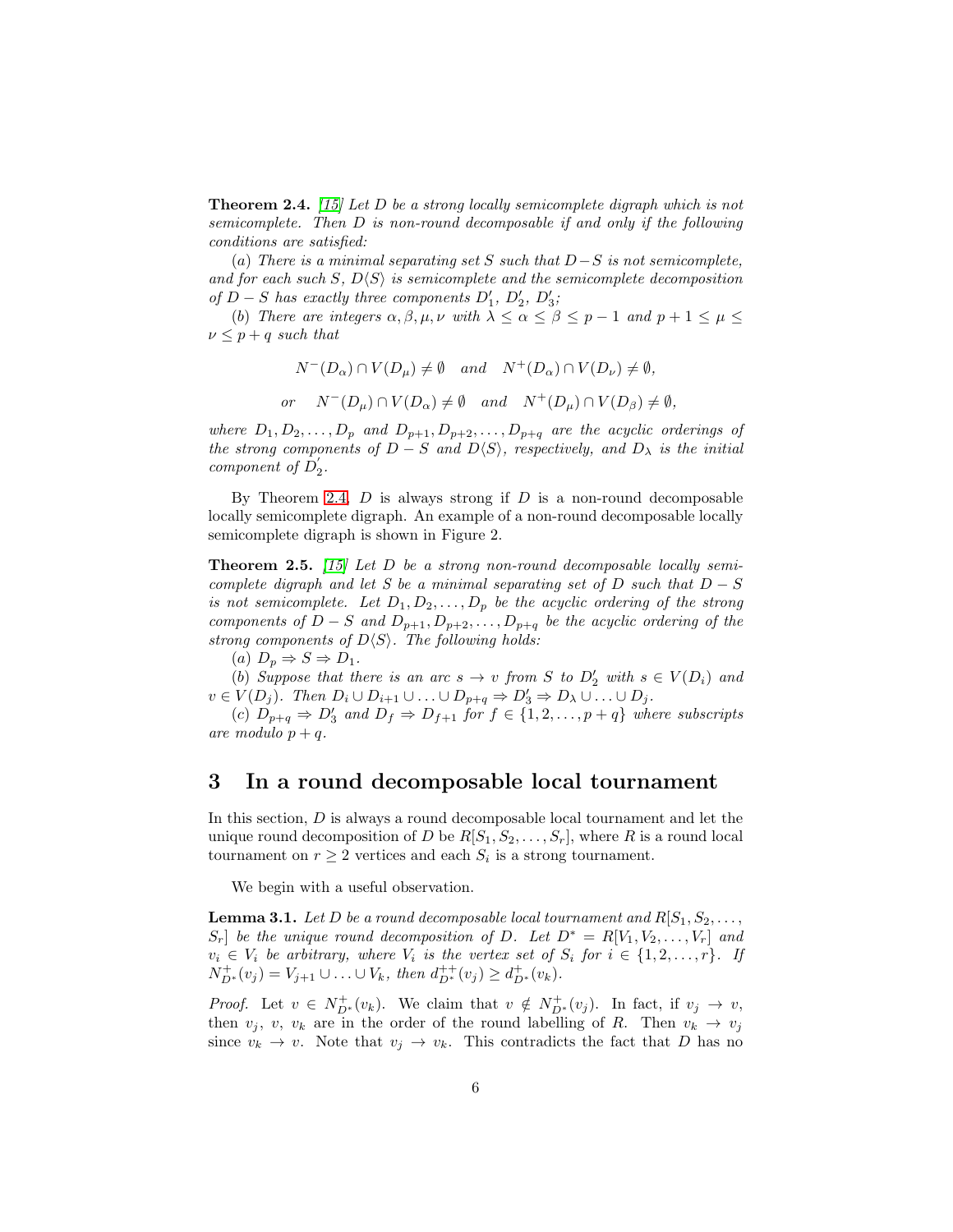<span id="page-5-0"></span>Theorem 2.4. *[15] Let* D *be a strong locally semicomplete digraph which is not semicomplete. Then* D *is non-round decomposable if and only if the following conditions are satisfied:*

(a) *There is a minimal separating set* S *such that* D−S *is not semicomplete,* and for each such S,  $D\langle S \rangle$  is semicomplete and the semicomplete decomposition *of*  $D - S$  *has exactly three components*  $D'_1$ ,  $D'_2$ ,  $D'_3$ ;

(b) *There are integers*  $\alpha, \beta, \mu, \nu$  *with*  $\lambda \leq \alpha \leq \beta \leq p-1$  *and*  $p+1 \leq \mu \leq$  $\nu \leq p + q$  *such that* 

$$
N^{-}(D_{\alpha}) \cap V(D_{\mu}) \neq \emptyset \quad and \quad N^{+}(D_{\alpha}) \cap V(D_{\nu}) \neq \emptyset,
$$
  
or 
$$
N^{-}(D_{\mu}) \cap V(D_{\alpha}) \neq \emptyset \quad and \quad N^{+}(D_{\mu}) \cap V(D_{\beta}) \neq \emptyset,
$$

*where*  $D_1, D_2, \ldots, D_p$  *and*  $D_{p+1}, D_{p+2}, \ldots, D_{p+q}$  *are the acyclic orderings of the strong components of*  $D-S$  *and*  $D\langle S \rangle$ *, respectively, and*  $D_{\lambda}$  *is the initial component of*  $D_2$ .

By Theorem [2.4,](#page-5-0)  $D$  is always strong if  $D$  is a non-round decomposable locally semicomplete digraph. An example of a non-round decomposable locally semicomplete digraph is shown in Figure 2.

<span id="page-5-2"></span>Theorem 2.5. *[15] Let* D *be a strong non-round decomposable locally semicomplete digraph and let S be a minimal separating set of* D *such that* D − S *is not semicomplete.* Let  $D_1, D_2, \ldots, D_p$  be the acyclic ordering of the strong *components of*  $D-S$  *and*  $D_{p+1}, D_{p+2}, \ldots, D_{p+q}$  *be the acyclic ordering of the strong components of*  $D\langle S \rangle$ *. The following holds:* 

(a)  $D_p \Rightarrow S \Rightarrow D_1$ .

(b) Suppose that there is an arc  $s \to v$  from S to  $D'_2$  with  $s \in V(D_i)$  and  $v \in V(D_j)$ . Then  $D_i \cup D_{i+1} \cup \ldots \cup D_{p+q} \Rightarrow D'_3 \Rightarrow D_\lambda \cup \ldots \cup D_j$ .

(c)  $D_{p+q} \Rightarrow D'_3$  and  $D_f \Rightarrow D_{f+1}$  *for*  $f \in \{1, 2, ..., p+q\}$  where subscripts *are modulo*  $p + q$ *.* 

### 3 In a round decomposable local tournament

In this section, D is always a round decomposable local tournament and let the unique round decomposition of D be  $R[S_1, S_2, \ldots, S_r]$ , where R is a round local tournament on  $r \geq 2$  vertices and each  $S_i$  is a strong tournament.

We begin with a useful observation.

<span id="page-5-1"></span>**Lemma 3.1.** Let D be a round decomposable local tournament and  $R[S_1, S_2, \ldots, S_k]$  $S_r$  be the unique round decomposition of D. Let  $D^* = R[V_1, V_2, \ldots, V_r]$  and  $v_i \in V_i$  be arbitrary, where  $V_i$  is the vertex set of  $S_i$  for  $i \in \{1, 2, \ldots, r\}$ . If  $N_{D^*}^+(v_j) = V_{j+1} \cup \ldots \cup V_k$ , then  $d_{D^*}^{++}(v_j) \geq d_{D^*}^+(v_k)$ .

*Proof.* Let  $v \in N^+_{D^*}(v_k)$ . We claim that  $v \notin N^+_{D^*}(v_j)$ . In fact, if  $v_j \to v$ , then  $v_j$ ,  $v_k$  are in the order of the round labelling of R. Then  $v_k \to v_j$ since  $v_k \to v$ . Note that  $v_j \to v_k$ . This contradicts the fact that D has no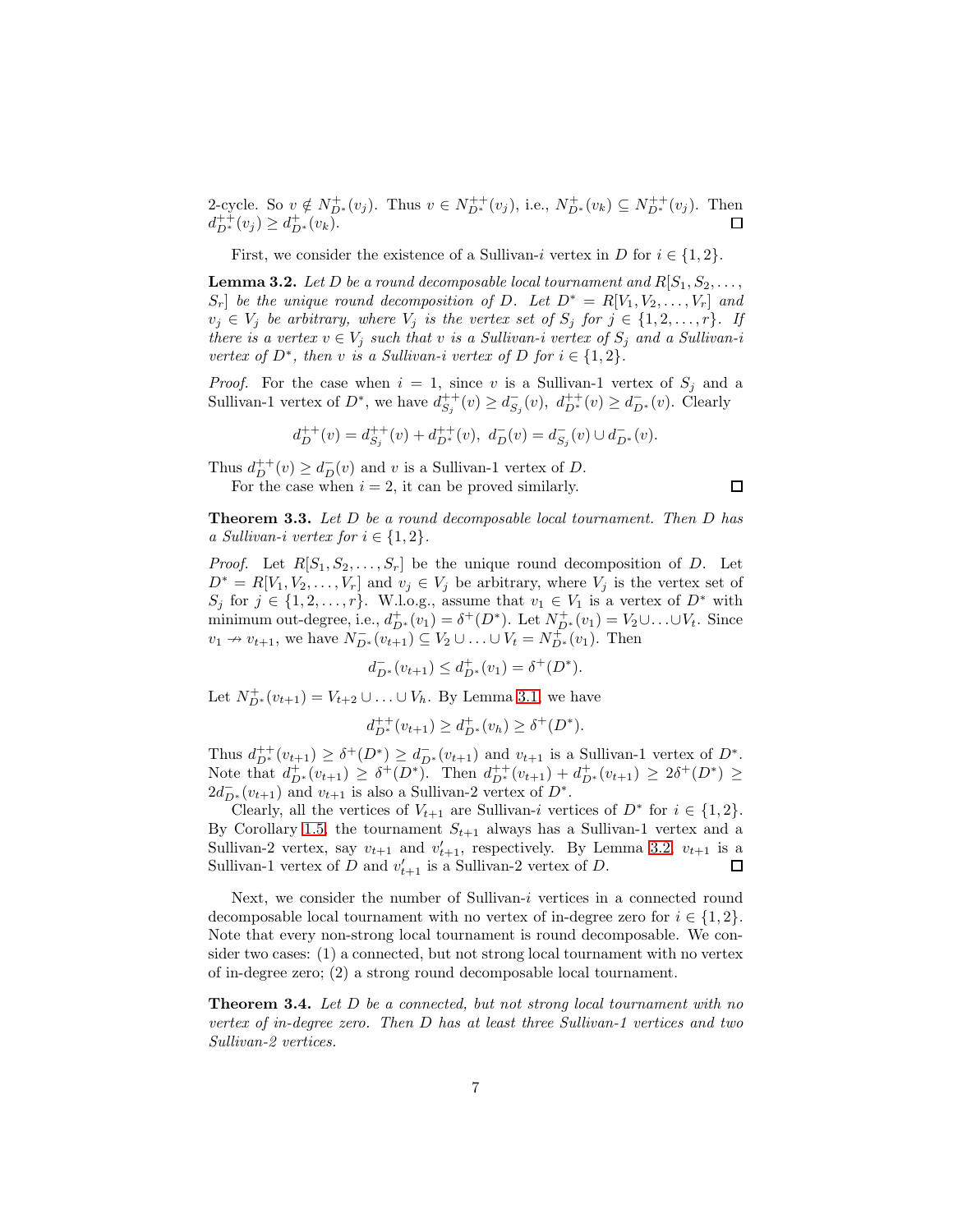2-cycle. So  $v \notin N^+_{D^*}(v_j)$ . Thus  $v \in N^{++}_{D^*}(v_j)$ , i.e.,  $N^+_{D^*}(v_k) \subseteq N^{++}_{D^*}(v_j)$ . Then  $d_{D^*}^{++}(v_j) \geq d_{D^*}^{+}(v_k).$ 

First, we consider the existence of a Sullivan-i vertex in D for  $i \in \{1, 2\}$ .

<span id="page-6-0"></span>**Lemma 3.2.** Let D be a round decomposable local tournament and  $R[S_1, S_2, \ldots]$  $S_r$  be the unique round decomposition of D. Let  $D^* = R[V_1, V_2, \ldots, V_r]$  and  $v_j \in V_j$  *be arbitrary, where*  $V_j$  *is the vertex set of*  $S_j$  *for*  $j \in \{1, 2, ..., r\}$ *. If there is a vertex*  $v \in V_j$  *such that* v *is a Sullivan-i vertex of*  $S_j$  *and a Sullivan-i vertex of*  $D^*$ *, then v is a Sullivan-i vertex of*  $D$  *for*  $i \in \{1,2\}$ *.* 

*Proof.* For the case when  $i = 1$ , since v is a Sullivan-1 vertex of  $S_j$  and a Sullivan-1 vertex of  $D^*$ , we have  $d_{S_j}^{++}(v) \ge d_{S_j}^-(v)$ ,  $d_{D^*}^{++}(v) \ge d_{D^*}^-(v)$ . Clearly

$$
d^{++}_D(v)=d^{++}_{S_j}(v)+d^{++}_{D^*}(v),\ d^-_D(v)=d^-_{S_j}(v)\cup d^-_{D^*}(v).
$$

Thus  $d_D^{++}(v) \geq d_D^-(v)$  and v is a Sullivan-1 vertex of D. For the case when  $i = 2$ , it can be proved similarly.

 $\Box$ 

<span id="page-6-1"></span>Theorem 3.3. *Let* D *be a round decomposable local tournament. Then* D *has a Sullivan-i vertex for*  $i \in \{1, 2\}$ .

*Proof.* Let  $R[S_1, S_2, \ldots, S_r]$  be the unique round decomposition of D. Let  $D^* = R[V_1, V_2, \ldots, V_r]$  and  $v_j \in V_j$  be arbitrary, where  $V_j$  is the vertex set of  $S_j$  for  $j \in \{1, 2, \ldots, r\}$ . W.l.o.g., assume that  $v_1 \in V_1$  is a vertex of  $D^*$  with minimum out-degree, i.e.,  $d_{D^*}^+(v_1) = \delta^+(D^*)$ . Let  $N_{D^*}^+(v_1) = V_2 \cup \ldots \cup V_t$ . Since  $v_1 \to v_{t+1}$ , we have  $N_{D^*}^-(v_{t+1}) \subseteq V_2 \cup ... \cup V_t = N_{D^*}^+(v_1)$ . Then

$$
d_{D^*}^-(v_{t+1}) \le d_{D^*}^+(v_1) = \delta^+(D^*).
$$

Let  $N_{D^*}^+(v_{t+1}) = V_{t+2} \cup ... \cup V_h$ . By Lemma [3.1,](#page-5-1) we have

$$
d_{D^*}^{++}(v_{t+1}) \ge d_{D^*}^+(v_h) \ge \delta^+(D^*).
$$

Thus  $d_{D^*}^{++}(v_{t+1}) \geq \delta^+(D^*) \geq d_{D^*}^-(v_{t+1})$  and  $v_{t+1}$  is a Sullivan-1 vertex of  $D^*$ . Note that  $d_{D^*}^+(v_{t+1}) \geq \delta^+(D^*)$ . Then  $d_{D^*}^{++}(v_{t+1}) + d_{D^*}^+(v_{t+1}) \geq 2\delta^+(D^*) \geq$  $2d_{D^*}^-(v_{t+1})$  and  $v_{t+1}$  is also a Sullivan-2 vertex of  $D^*$ .

Clearly, all the vertices of  $V_{t+1}$  are Sullivan-i vertices of  $D^*$  for  $i \in \{1,2\}$ . By Corollary [1.5,](#page-2-2) the tournament  $S_{t+1}$  always has a Sullivan-1 vertex and a Sullivan-2 vertex, say  $v_{t+1}$  and  $v'_{t+1}$ , respectively. By Lemma [3.2,](#page-6-0)  $v_{t+1}$  is a Sullivan-1 vertex of D and  $v'_{t+1}$  is a Sullivan-2 vertex of D.  $\Box$ 

Next, we consider the number of Sullivan-i vertices in a connected round decomposable local tournament with no vertex of in-degree zero for  $i \in \{1,2\}$ . Note that every non-strong local tournament is round decomposable. We consider two cases: (1) a connected, but not strong local tournament with no vertex of in-degree zero; (2) a strong round decomposable local tournament.

Theorem 3.4. *Let* D *be a connected, but not strong local tournament with no vertex of in-degree zero. Then* D *has at least three Sullivan-1 vertices and two Sullivan-2 vertices.*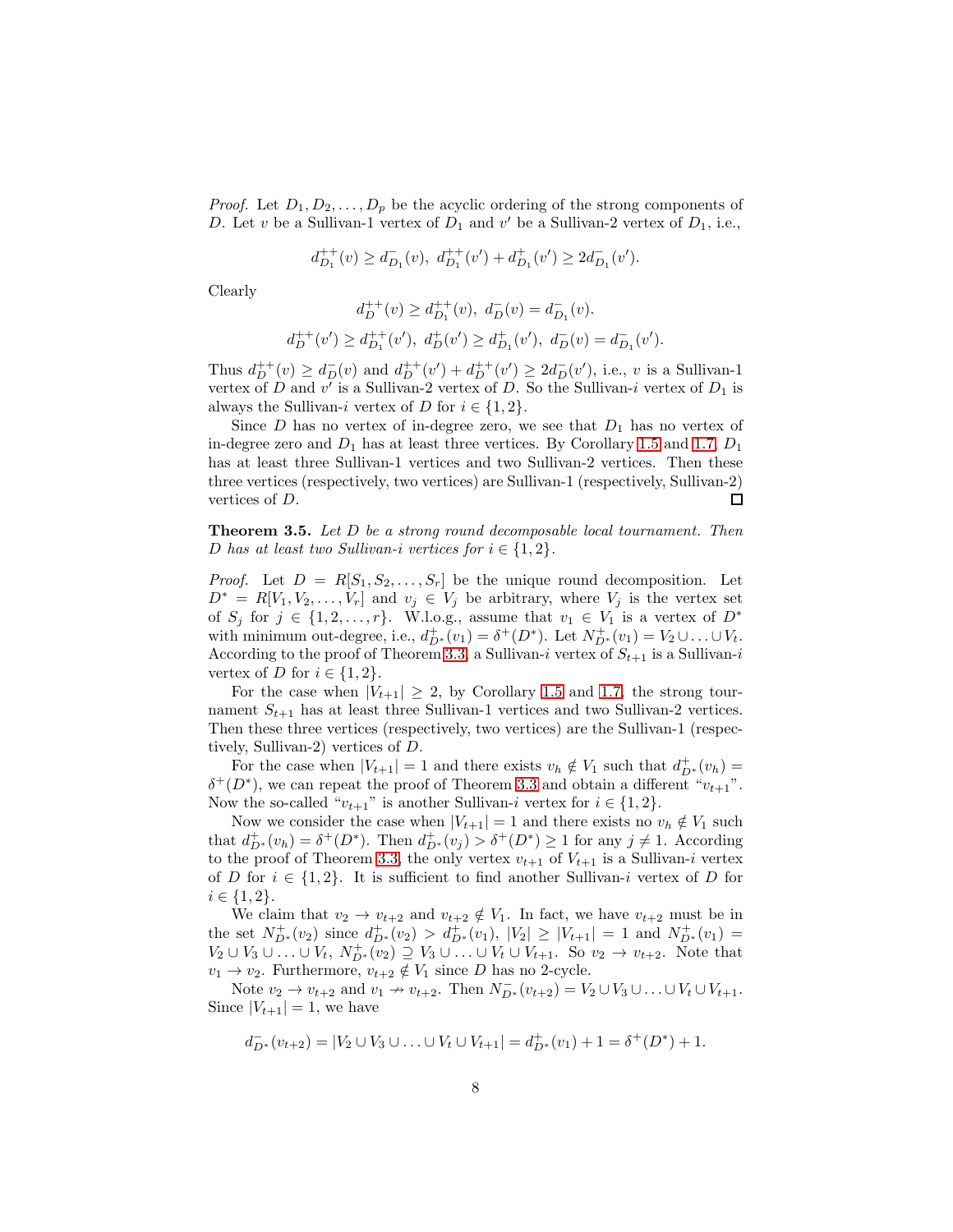*Proof.* Let  $D_1, D_2, \ldots, D_p$  be the acyclic ordering of the strong components of D. Let v be a Sullivan-1 vertex of  $D_1$  and v' be a Sullivan-2 vertex of  $D_1$ , i.e.,

$$
d^{++}_{D_1}(v)\geq d^{-}_{D_1}(v),\ d^{++}_{D_1}(v')+d^{+}_{D_1}(v')\geq 2d^{-}_{D_1}(v').
$$

Clearly

$$
\begin{aligned} d_D^{++}(v) &\ge d_{D_1}^{++}(v), \ d_D^-(v) = d_{D_1}^-(v).\\ d_D^{++}(v') &\ge d_{D_1}^{++}(v'), \ d_D^+(v') &\ge d_{D_1}^+(v'), \ d_D^-(v) = d_{D_1}^-(v'). \end{aligned}
$$

Thus  $d_{D}^{++}(v) \geq d_{D}^{-}(v)$  and  $d_{D}^{++}(v') + d_{D}^{++}(v') \geq 2d_{D}^{-}(v')$ , i.e., v is a Sullivan-1 vertex of D and  $v'$  is a Sullivan-2 vertex of D. So the Sullivan-i vertex of  $D_1$  is always the Sullivan-i vertex of D for  $i \in \{1,2\}$ .

Since  $D$  has no vertex of in-degree zero, we see that  $D_1$  has no vertex of in-degree zero and  $D_1$  has at least three vertices. By Corollary [1.5](#page-2-2) and [1.7,](#page-3-0)  $D_1$ has at least three Sullivan-1 vertices and two Sullivan-2 vertices. Then these three vertices (respectively, two vertices) are Sullivan-1 (respectively, Sullivan-2)  $\Box$ vertices of D.

Theorem 3.5. *Let* D *be a strong round decomposable local tournament. Then* D has at least two Sullivan-i vertices for  $i \in \{1,2\}$ .

*Proof.* Let  $D = R[S_1, S_2, \ldots, S_r]$  be the unique round decomposition. Let  $D^* = R[V_1, V_2, \ldots, V_r]$  and  $v_j \in V_j$  be arbitrary, where  $V_j$  is the vertex set of  $S_j$  for  $j \in \{1, 2, \ldots, r\}$ . W.l.o.g., assume that  $v_1 \in V_1$  is a vertex of  $D^*$ with minimum out-degree, i.e.,  $d_{D^*}^+(v_1) = \delta^+(D^*)$ . Let  $N_{D^*}^+(v_1) = V_2 \cup ... \cup V_t$ . According to the proof of Theorem [3.3,](#page-6-1) a Sullivan-i vertex of  $S_{t+1}$  is a Sullivan-i vertex of D for  $i \in \{1,2\}$ .

For the case when  $|V_{t+1}| \geq 2$ , by Corollary [1.5](#page-2-2) and [1.7,](#page-3-0) the strong tournament  $S_{t+1}$  has at least three Sullivan-1 vertices and two Sullivan-2 vertices. Then these three vertices (respectively, two vertices) are the Sullivan-1 (respectively, Sullivan-2) vertices of D.

For the case when  $|V_{t+1}| = 1$  and there exists  $v_h \notin V_1$  such that  $d_{D^*}^+(v_h) =$  $\delta^+(D^*)$ , we can repeat the proof of Theorem [3.3](#page-6-1) and obtain a different " $v_{t+1}$ ". Now the so-called  $``v_{t+1}"$  is another Sullivan- $i$  vertex for  $i \in \{1,2\}.$ 

Now we consider the case when  $|V_{t+1}| = 1$  and there exists no  $v_h \notin V_1$  such that  $d_{D^*}^+(v_h) = \delta^+(D^*)$ . Then  $d_{D^*}^+(v_j) > \delta^+(D^*) \ge 1$  for any  $j \ne 1$ . According to the proof of Theorem [3.3,](#page-6-1) the only vertex  $v_{t+1}$  of  $V_{t+1}$  is a Sullivan-i vertex of D for  $i \in \{1,2\}$ . It is sufficient to find another Sullivan-i vertex of D for  $i \in \{1, 2\}.$ 

We claim that  $v_2 \to v_{t+2}$  and  $v_{t+2} \notin V_1$ . In fact, we have  $v_{t+2}$  must be in the set  $N^+_{D^*}(v_2)$  since  $d^+_{D^*}(v_2) > d^+_{D^*}(v_1)$ ,  $|V_2| \geq |V_{t+1}| = 1$  and  $N^+_{D^*}(v_1) =$  $V_2 \cup V_3 \cup \ldots \cup V_t$ ,  $N_{D^*}^+(\overline{v_2}) \supseteq V_3 \cup \ldots \cup V_t \cup V_{t+1}$ . So  $v_2 \to v_{t+2}$ . Note that  $v_1 \rightarrow v_2$ . Furthermore,  $v_{t+2} \notin V_1$  since D has no 2-cycle.

Note  $v_2 \to v_{t+2}$  and  $v_1 \to v_{t+2}$ . Then  $N_{D^*}^-(v_{t+2}) = V_2 \cup V_3 \cup \ldots \cup V_t \cup V_{t+1}$ . Since  $|V_{t+1}| = 1$ , we have

$$
d_{D^*}^-(v_{t+2}) = |V_2 \cup V_3 \cup \ldots \cup V_t \cup V_{t+1}| = d_{D^*}^+(v_1) + 1 = \delta^+(D^*) + 1.
$$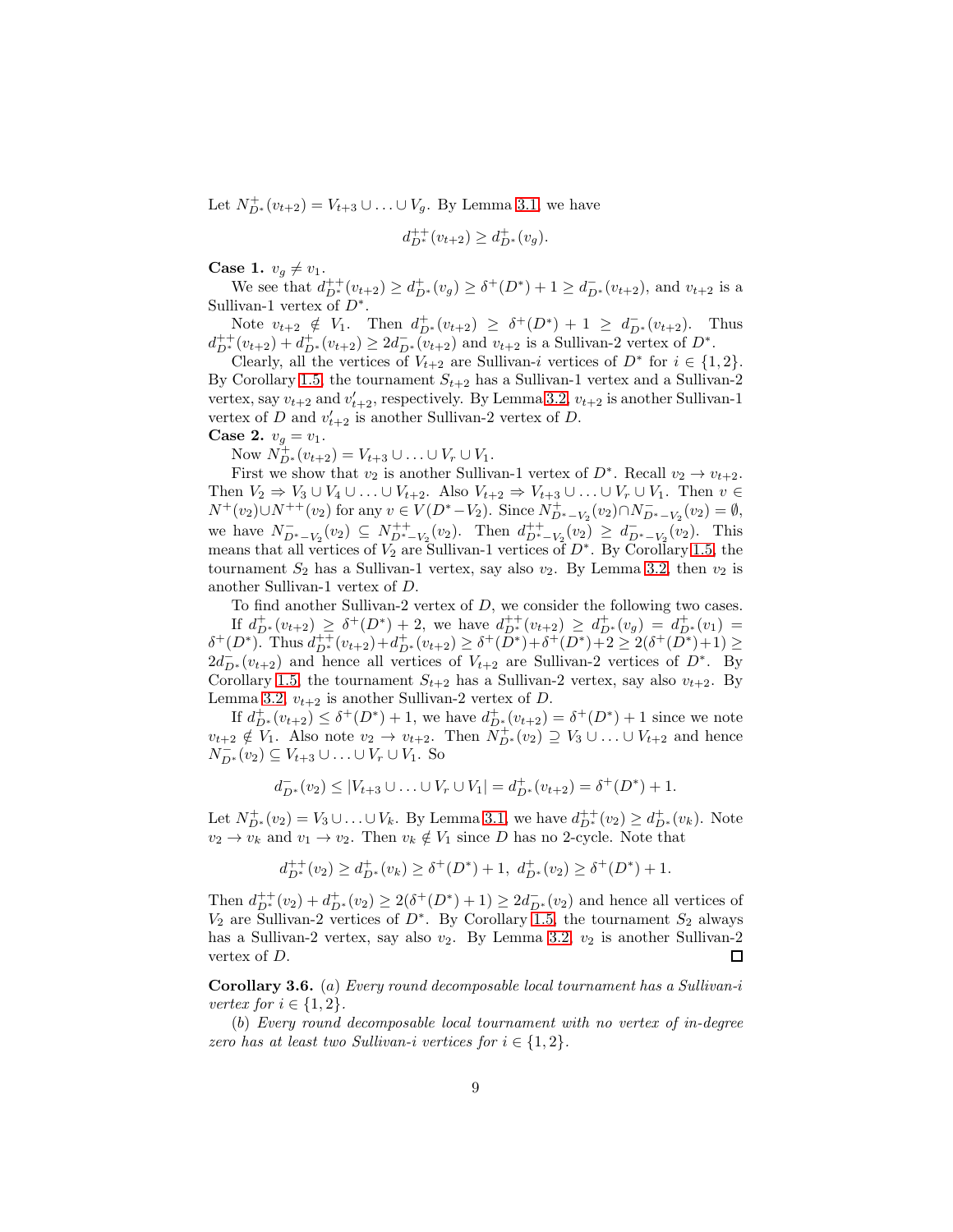Let  $N^+_{D^*}(v_{t+2}) = V_{t+3} \cup ... \cup V_g$ . By Lemma [3.1,](#page-5-1) we have

$$
d_{D^*}^{++}(v_{t+2}) \ge d_{D^*}^+(v_g).
$$

Case 1.  $v_g \neq v_1$ .

We see that  $d_{D^*}^{++}(v_{t+2}) \geq d_{D^*}^+(v_g) \geq \delta^+(D^*) + 1 \geq d_{D^*}^-(v_{t+2})$ , and  $v_{t+2}$  is a Sullivan-1 vertex of  $D^*$ .

Note  $v_{t+2} \notin V_1$ . Then  $d_{D^*}^+(v_{t+2}) \geq \delta^+(D^*) + 1 \geq d_{D^*}^-(v_{t+2})$ . Thus  $d_{D^*}^{++}(v_{t+2}) + d_{D^*}^{+}(v_{t+2}) \geq 2d_{D^*}^{-}(v_{t+2})$  and  $v_{t+2}$  is a Sullivan-2 vertex of  $D^*$ .

Clearly, all the vertices of  $V_{t+2}$  are Sullivan-i vertices of  $D^*$  for  $i \in \{1,2\}$ . By Corollary [1.5,](#page-2-2) the tournament  $S_{t+2}$  has a Sullivan-1 vertex and a Sullivan-2 vertex, say  $v_{t+2}$  and  $v'_{t+2}$ , respectively. By Lemma [3.2,](#page-6-0)  $v_{t+2}$  is another Sullivan-1 vertex of D and  $v'_{t+2}$  is another Sullivan-2 vertex of D.

**Case 2.**  $v_q = v_1$ .

Now  $N_{D^*}^+(v_{t+2}) = V_{t+3} \cup ... \cup V_r \cup V_1$ .

First we show that  $v_2$  is another Sullivan-1 vertex of  $D^*$ . Recall  $v_2 \to v_{t+2}$ . Then  $V_2 \Rightarrow V_3 \cup V_4 \cup \ldots \cup V_{t+2}$ . Also  $V_{t+2} \Rightarrow V_{t+3} \cup \ldots \cup V_r \cup V_1$ . Then  $v \in$  $N^+(v_2) \cup N^{++}(v_2)$  for any  $v \in V(D^* - V_2)$ . Since  $N^+_{D^* - V_2}(v_2) \cap N^-_{D^* - V_2}(v_2) = \emptyset$ , we have  $N_{D^*-V_2}^-(v_2) \subseteq N_{D^*-V_2}^{++}(v_2)$ . Then  $d_{D^*-V_2}^{++}(v_2) \geq d_{D^*-V_2}^-(v_2)$ . This means that all vertices of  $\tilde{V_2}$  are Sullivan-1 vertices of  $D^*$ . By Corollary [1.5,](#page-2-2) the tournament  $S_2$  has a Sullivan-1 vertex, say also  $v_2$ . By Lemma [3.2,](#page-6-0) then  $v_2$  is another Sullivan-1 vertex of D.

To find another Sullivan-2 vertex of D, we consider the following two cases. If  $d_{D^*}^+(v_{t+2}) \geq \delta^+(D^*) + 2$ , we have  $d_{D^*}^{++}(v_{t+2}) \geq d_{D^*}^+(v_g) = d_{D^*}^+(v_1) =$  $\delta^+(D^*)$ . Thus  $d_{D^*}^{++}(v_{t+2})+d_{D^*}^{+}(v_{t+2}) \geq \delta^+(\overline{D^*})+\delta^+(D^*)+2 \geq 2(\delta^+(\overline{D^*})+1) \geq$  $2d_{D^*}^-(v_{t+2})$  and hence all vertices of  $V_{t+2}$  are Sullivan-2 vertices of  $D^*$ . By Corollary [1.5,](#page-2-2) the tournament  $S_{t+2}$  has a Sullivan-2 vertex, say also  $v_{t+2}$ . By Lemma [3.2,](#page-6-0)  $v_{t+2}$  is another Sullivan-2 vertex of D.

If  $d_{D^*}^+(v_{t+2}) \leq \delta^+(D^*) + 1$ , we have  $d_{D^*}^+(v_{t+2}) = \delta^+(D^*) + 1$  since we note  $v_{t+2} \notin V_1$ . Also note  $v_2 \to v_{t+2}$ . Then  $\tilde{N}_{D^*}^+(v_2) \supseteq V_3 \cup \ldots \cup V_{t+2}$  and hence  $N_{D^*}^-(v_2) \subseteq V_{t+3} \cup ... \cup V_r \cup V_1$ . So

$$
d_{D^*}^-(v_2) \le |V_{t+3} \cup \ldots \cup V_r \cup V_1| = d_{D^*}^+(v_{t+2}) = \delta^+(D^*) + 1.
$$

Let  $N_{D^*}^+(v_2) = V_3 \cup ... \cup V_k$ . By Lemma [3.1,](#page-5-1) we have  $d_{D^*}^{++}(v_2) \geq d_{D^*}^+(v_k)$ . Note  $v_2 \to v_k$  and  $v_1 \to v_2$ . Then  $v_k \notin V_1$  since D has no 2-cycle. Note that

$$
d_{D^*}^{++}(v_2) \ge d_{D^*}^+(v_k) \ge \delta^+(D^*) + 1, \ d_{D^*}^+(v_2) \ge \delta^+(D^*) + 1.
$$

Then  $d_{D^*}^{++}(v_2) + d_{D^*}^+(v_2) \geq 2(\delta^+(D^*)+1) \geq 2d_{D^*}^-(v_2)$  and hence all vertices of  $V_2$  are Sullivan-2 vertices of  $D^*$ . By Corollary [1.5,](#page-2-2) the tournament  $S_2$  always has a Sullivan-2 vertex, say also  $v_2$ . By Lemma [3.2,](#page-6-0)  $v_2$  is another Sullivan-2 vertex of D.  $\Box$ 

<span id="page-8-0"></span>Corollary 3.6. (a) *Every round decomposable local tournament has a Sullivan-*i *vertex for*  $i \in \{1, 2\}$ .

(b) *Every round decomposable local tournament with no vertex of in-degree zero has at least two Sullivan-i vertices for*  $i \in \{1, 2\}$ *.*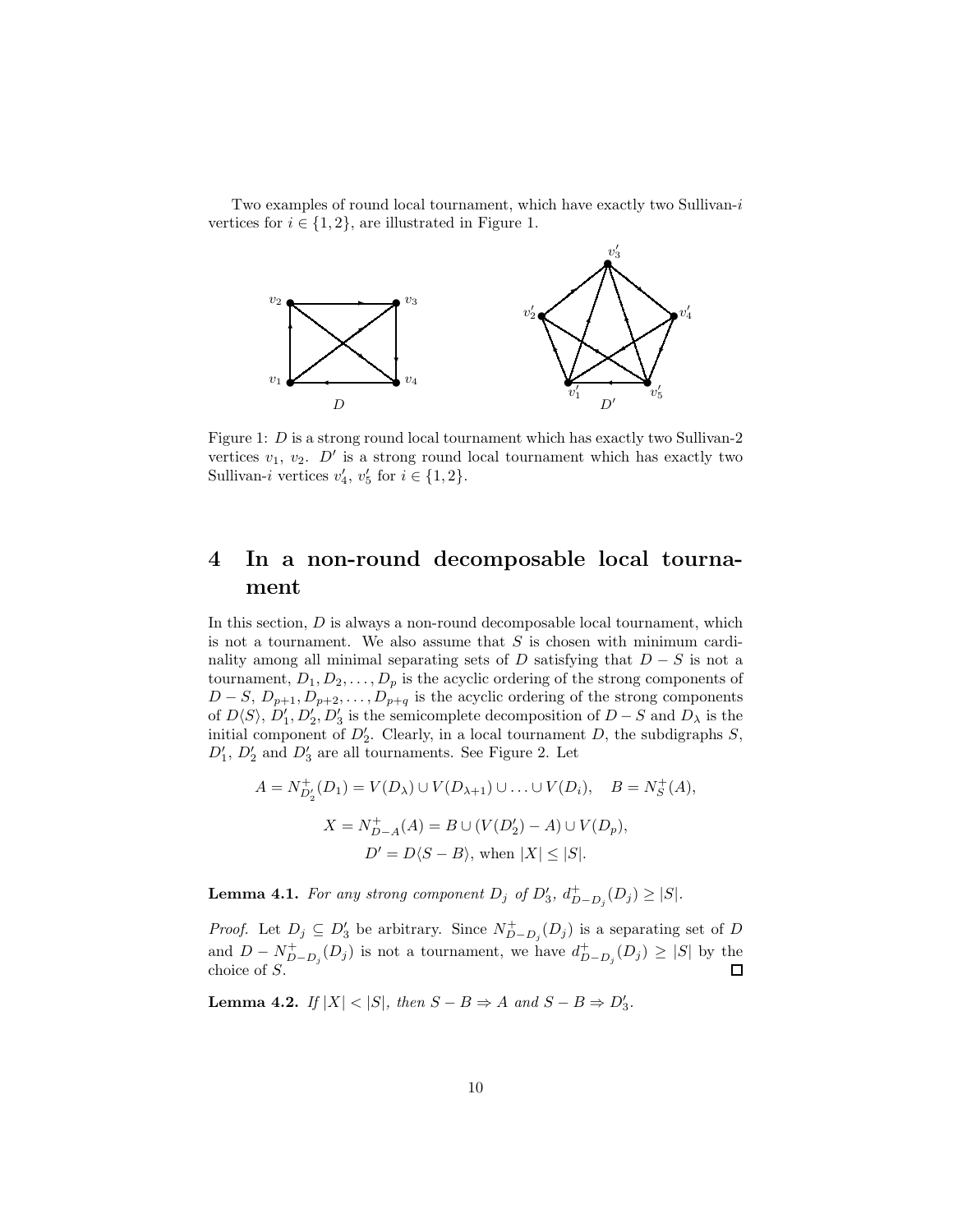Two examples of round local tournament, which have exactly two Sullivan-i vertices for  $i \in \{1, 2\}$ , are illustrated in Figure 1.



Figure 1: D is a strong round local tournament which has exactly two Sullivan-2 vertices  $v_1, v_2$ .  $D'$  is a strong round local tournament which has exactly two Sullivan-i vertices  $v'_4, v'_5$  for  $i \in \{1, 2\}.$ 

# 4 In a non-round decomposable local tournament

In this section,  $D$  is always a non-round decomposable local tournament, which is not a tournament. We also assume that  $S$  is chosen with minimum cardinality among all minimal separating sets of D satisfying that  $D-S$  is not a tournament,  $D_1, D_2, \ldots, D_p$  is the acyclic ordering of the strong components of  $D-S, D_{p+1}, D_{p+2}, \ldots, D_{p+q}$  is the acyclic ordering of the strong components of  $D\langle S\rangle$ ,  $D'_1, D'_2, D'_3$  is the semicomplete decomposition of  $D-S$  and  $D_\lambda$  is the initial component of  $D'_2$ . Clearly, in a local tournament D, the subdigraphs S,  $D'_1$ ,  $D'_2$  and  $D'_3$  are all tournaments. See Figure 2. Let

$$
A = N_{D'_2}^+(D_1) = V(D_\lambda) \cup V(D_{\lambda+1}) \cup \ldots \cup V(D_i), \quad B = N_S^+(A),
$$
  

$$
X = N_{D-A}^+(A) = B \cup (V(D'_2) - A) \cup V(D_p),
$$
  

$$
D' = D\langle S - B \rangle, \text{ when } |X| \le |S|.
$$

<span id="page-9-1"></span>**Lemma 4.1.** For any strong component  $D_j$  of  $D'_3$ ,  $d^+_{D-D_j}(D_j) \geq |S|$ .

*Proof.* Let  $D_j \subseteq D'_3$  be arbitrary. Since  $N_{D-D_j}^+(D_j)$  is a separating set of D and  $D - N_{D-D_j}^+(D_j)$  is not a tournament, we have  $d_{D-D_j}^+(D_j) \geq |S|$  by the choice of S.

<span id="page-9-0"></span>**Lemma 4.2.** *If*  $|X| < |S|$ *, then*  $S - B \Rightarrow A$  *and*  $S - B \Rightarrow D'_3$ *.*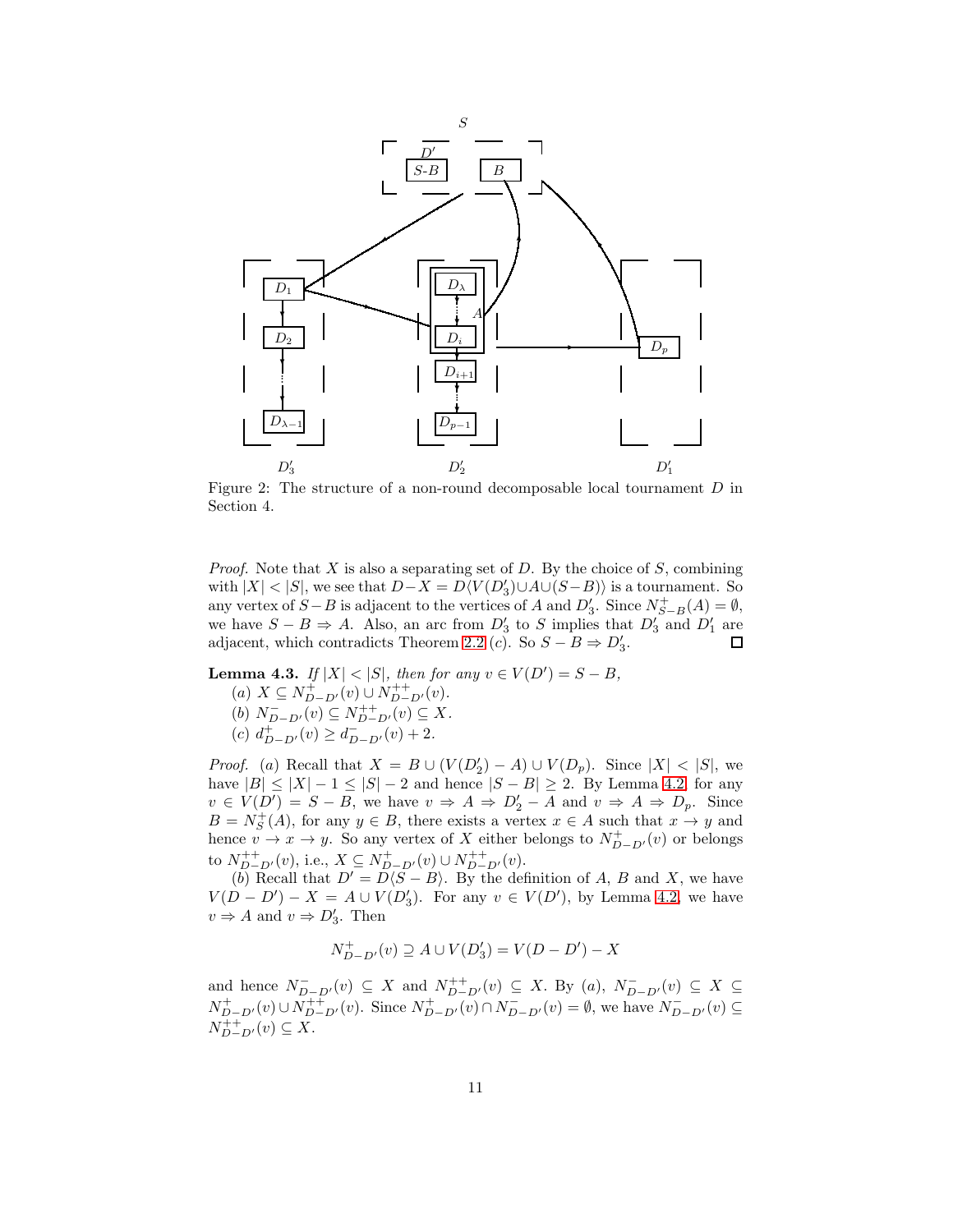

Figure 2: The structure of a non-round decomposable local tournament D in Section 4.

*Proof.* Note that X is also a separating set of D. By the choice of S, combining with  $|X| < |S|$ , we see that  $D - X = D\langle V(D_3') \cup A \cup (S - B) \rangle$  is a tournament. So any vertex of  $S - B$  is adjacent to the vertices of A and  $D'_3$ . Since  $N_{S-B}^+(A) = \emptyset$ , we have  $S - B \Rightarrow A$ . Also, an arc from  $D'_3$  to S implies that  $D'_3$  and  $D'_1$  are adjacent, which contradicts Theorem [2.2](#page-4-0) (*c*). So  $S - B \Rightarrow D'_3$ .  $\Box$ 

<span id="page-10-0"></span>**Lemma 4.3.** *If*  $|X| < |S|$ *, then for any*  $v \in V(D') = S - B$ *,* (a)  $X \subseteq N^+_{D-D'}(v) \cup N^{++}_{D-D'}(v)$ .

(b)  $N_{D-D'}^-(v) \subseteq N_{D-D'}^{++}(v) \subseteq X$ .

(c)  $d_{D-D'}^+(v) \geq d_{D-D'}^-(v) + 2.$ 

*Proof.* (a) Recall that  $X = B \cup (V(D_2') - A) \cup V(D_p)$ . Since  $|X| < |S|$ , we have  $|B| \leq |X| - 1 \leq |S| - 2$  and hence  $|S - B| \geq 2$ . By Lemma [4.2,](#page-9-0) for any  $v \in V(D') = S - B$ , we have  $v \Rightarrow A \Rightarrow D'_2 - A$  and  $v \Rightarrow A \Rightarrow D_p$ . Since  $B = N_S^+(A)$ , for any  $y \in B$ , there exists a vertex  $x \in A$  such that  $x \to y$  and hence  $v \to x \to y$ . So any vertex of X either belongs to  $N^+_{D-D'}(v)$  or belongs to  $N_{D-D'}^{++}(v)$ , i.e.,  $X \subseteq N_{D-D'}^+(v) \cup N_{D-D'}^{++}(v)$ .

(b) Recall that  $D' = D(S - B)$ . By the definition of A, B and X, we have  $V(D - D') - X = A \cup V(D_3')$ . For any  $v \in V(D')$ , by Lemma [4.2,](#page-9-0) we have  $v \Rightarrow A$  and  $v \Rightarrow D'_3$ . Then

$$
N^+_{D-D'}(v) \supseteq A \cup V(D_3') = V(D-D') - X
$$

and hence  $N_{D-D'}^-(v) \subseteq X$  and  $N_{D-D'}^+(v) \subseteq X$ . By  $(a)$ ,  $N_{D-D'}^-(v) \subseteq X \subseteq Y$  $N^+_{D-D'}(v) \cup N^{++}_{D-D'}(v)$ . Since  $N^+_{D-D'}(v) \cap N^-_{D-D'}(v) = \emptyset$ , we have  $N^-_{D-D'}(v) \subseteq$  $N_{D-D'}^{++}(v) \subseteq X$ .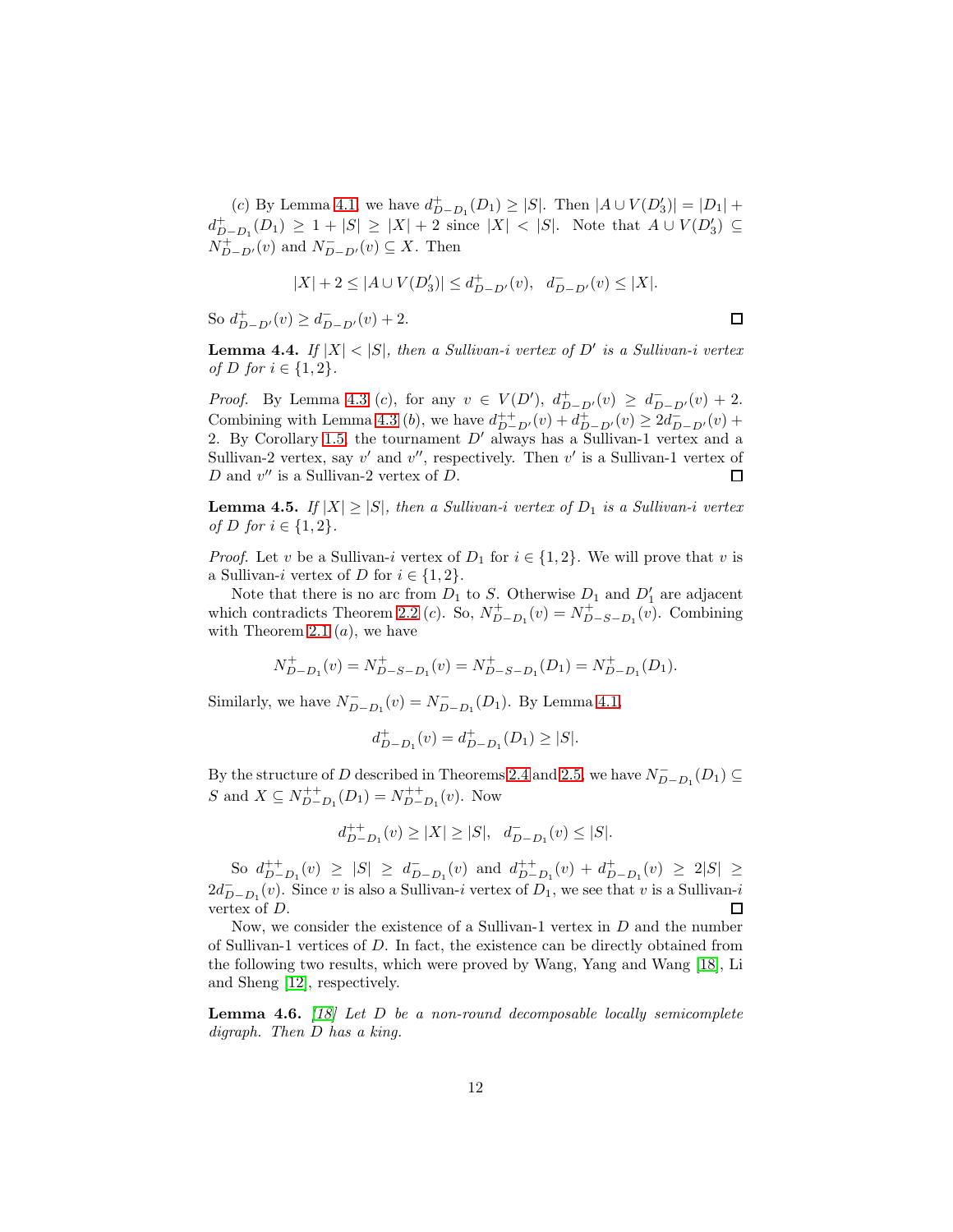(c) By Lemma [4.1,](#page-9-1) we have  $d_{D-D_1}^+(D_1) \geq |S|$ . Then  $|A \cup V(D_3')| = |D_1| +$  $d_{D-D_1}^+(D_1) \geq 1 + |S| \geq |X| + 2$  since  $|X| < |S|$ . Note that  $A \cup V(D_3') \subseteq$  $N^+_{D-D'}(v)$  and  $N^-_{D-D'}(v) \subseteq X$ . Then

$$
|X|+2\leq |A\cup V(D_3')|\leq d^+_{D-D'}(v),\ \ d^-_{D-D'}(v)\leq |X|.
$$

So  $d_{D-D'}^+(v) \geq d_{D-D'}^-(v) + 2$ .

 $\Box$ 

<span id="page-11-2"></span>**Lemma 4.4.** If  $|X| < |S|$ , then a Sullivan-i vertex of D' is a Sullivan-i vertex *of D for*  $i \in \{1, 2\}$ *.* 

*Proof.* By Lemma [4.3](#page-10-0) (c), for any  $v \in V(D')$ ,  $d_{D-D'}^+(v) \geq d_{D-D'}^-(v) + 2$ . Combining with Lemma [4.3](#page-10-0) (*b*), we have  $d_{D-D'}^{++}(v) + d_{D-D'}^{+}(v) \geq 2d_{D-D'}^{-}(v) +$ 2. By Corollary [1.5,](#page-2-2) the tournament  $D'$  always has a Sullivan-1 vertex and a Sullivan-2 vertex, say  $v'$  and  $v''$ , respectively. Then  $v'$  is a Sullivan-1 vertex of  $D$  and  $v''$  is a Sullivan-2 vertex of  $D$ . □

<span id="page-11-0"></span>**Lemma 4.5.** *If*  $|X| \ge |S|$ *, then a Sullivan-i vertex of*  $D_1$  *is a Sullivan-i vertex of D for i* ∈ {1, 2}.

*Proof.* Let v be a Sullivan-i vertex of  $D_1$  for  $i \in \{1,2\}$ . We will prove that v is a Sullivan-i vertex of D for  $i \in \{1,2\}$ .

Note that there is no arc from  $D_1$  to S. Otherwise  $D_1$  and  $D'_1$  are adjacent which contradicts Theorem [2.2](#page-4-0) (c). So,  $N_{D-D_1}^+(v) = N_{D-S-D_1}^+(v)$ . Combining with Theorem [2.1](#page-4-1)  $(a)$ , we have

$$
N_{D-D_1}^+(v) = N_{D-S-D_1}^+(v) = N_{D-S-D_1}^+(D_1) = N_{D-D_1}^+(D_1).
$$

Similarly, we have  $N_{D-D_1}^{-}(v) = N_{D-D_1}^{-}(D_1)$ . By Lemma [4.1,](#page-9-1)

$$
d_{D-D_1}^+(v) = d_{D-D_1}^+(D_1) \ge |S|.
$$

By the structure of D described in Theorems [2.4](#page-5-0) and [2.5,](#page-5-2) we have  $N_{D-D_1}^-(D_1) \subseteq$ S and  $X \subseteq N_{D-D_1}^{++}(D_1) = N_{D-D_1}^{++}(v)$ . Now

$$
d^{++}_{D-D_1}(v)\geq |X|\geq |S|,\ \ d^-_{D-D_1}(v)\leq |S|.
$$

So  $d_{D-D_1}^{++}(v) \geq |S| \geq d_{D-D_1}^{-}(v)$  and  $d_{D-D_1}^{++}(v) + d_{D-D_1}^{+}(v) \geq 2|S| \geq$  $2d_{D-D_1}^-(v)$ . Since v is also a Sullivan-i vertex of  $D_1$ , we see that v is a Sullivan-i vertex of D. П

Now, we consider the existence of a Sullivan-1 vertex in  $D$  and the number of Sullivan-1 vertices of D. In fact, the existence can be directly obtained from the following two results, which were proved by Wang, Yang and Wang [\[18\]](#page-17-4), Li and Sheng [12], respectively.

<span id="page-11-1"></span>Lemma 4.6. *[\[18\]](#page-17-4) Let* D *be a non-round decomposable locally semicomplete digraph. Then* D *has a king.*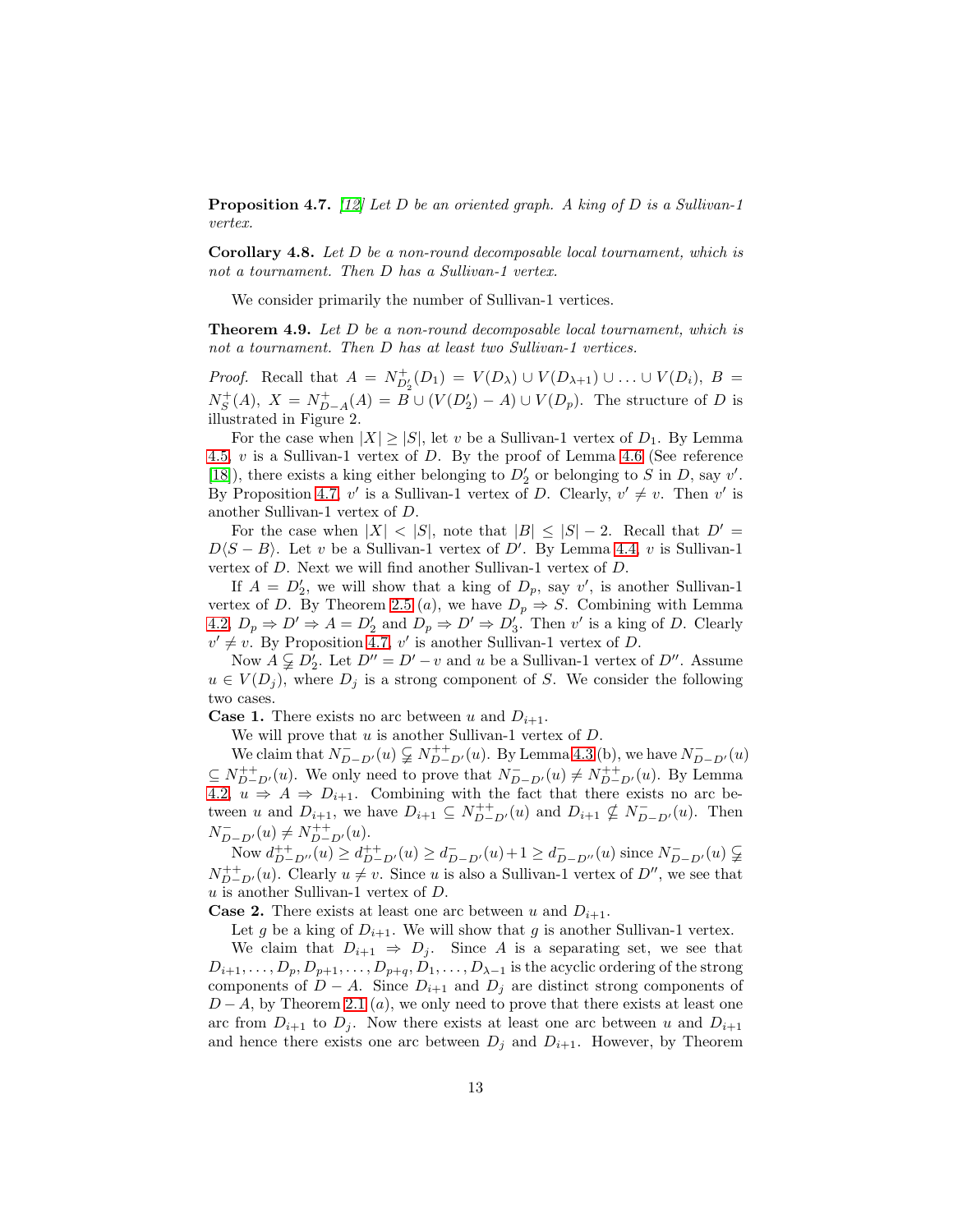<span id="page-12-0"></span>Proposition 4.7. *[12] Let* D *be an oriented graph. A king of* D *is a Sullivan-1 vertex.*

Corollary 4.8. *Let* D *be a non-round decomposable local tournament, which is not a tournament. Then* D *has a Sullivan-1 vertex.*

We consider primarily the number of Sullivan-1 vertices.

Theorem 4.9. *Let* D *be a non-round decomposable local tournament, which is not a tournament. Then* D *has at least two Sullivan-1 vertices.*

*Proof.* Recall that  $A = N_{D'_2}^+(D_1) = V(D_\lambda) \cup V(D_{\lambda+1}) \cup ... \cup V(D_i)$ ,  $B =$  $N_S^+(A)$ ,  $X = N_{D-A}^+(A) = B \cup (V(D_2') - A) \cup V(D_p)$ . The structure of D is illustrated in Figure 2.

For the case when  $|X| \geq |S|$ , let v be a Sullivan-1 vertex of  $D_1$ . By Lemma [4.5,](#page-11-0) v is a Sullivan-1 vertex of D. By the proof of Lemma [4.6](#page-11-1) (See reference [\[18\]](#page-17-4)), there exists a king either belonging to  $D'_2$  or belonging to S in D, say v'. By Proposition [4.7,](#page-12-0) v' is a Sullivan-1 vertex of D. Clearly,  $v' \neq v$ . Then v' is another Sullivan-1 vertex of D.

For the case when  $|X| < |S|$ , note that  $|B| \leq |S| - 2$ . Recall that  $D' =$  $D(S - B)$ . Let v be a Sullivan-1 vertex of D'. By Lemma [4.4,](#page-11-2) v is Sullivan-1 vertex of D. Next we will find another Sullivan-1 vertex of D.

If  $A = D'_2$ , we will show that a king of  $D_p$ , say v', is another Sullivan-1 vertex of D. By Theorem [2.5](#page-5-2) (*a*), we have  $D_p \Rightarrow S$ . Combining with Lemma [4.2,](#page-9-0)  $D_p \Rightarrow D' \Rightarrow A = D'_2$  and  $D_p \Rightarrow D' \Rightarrow D'_3$ . Then v' is a king of D. Clearly  $v' \neq v$ . By Proposition [4.7,](#page-12-0) v' is another Sullivan-1 vertex of D.

Now  $A \subsetneq D'_2$ . Let  $D'' = D' - v$  and u be a Sullivan-1 vertex of  $D''$ . Assume  $u \in V(D_j)$ , where  $D_j$  is a strong component of S. We consider the following two cases.

**Case 1.** There exists no arc between u and  $D_{i+1}$ .

We will prove that  $u$  is another Sullivan-1 vertex of  $D$ .

We claim that  $N_{D-D'}^-(u) \subsetneq N_{D-D'}^+(u)$ . By Lemma [4.3](#page-10-0) (b), we have  $N_{D-D'}^-(u)$  $\subseteq N_{D-D'}^{++}(u)$ . We only need to prove that  $N_{D-D'}^-(u) \neq N_{D-D'}^{++}(u)$ . By Lemma [4.2,](#page-9-0)  $u \Rightarrow A \Rightarrow D_{i+1}$ . Combining with the fact that there exists no arc between u and  $D_{i+1}$ , we have  $D_{i+1} \subseteq N_{D-D'}^{++}(u)$  and  $D_{i+1} \nsubseteq N_{D-D'}^{-}(u)$ . Then  $N_{D-D'}^-(u) \neq N_{D-D'}^{++}(u).$ 

Now  $d_{D-D'}^{++}(u) \geq d_{D-D'}^{++}(u) \geq d_{D-D'}^{-}(u) + 1 \geq d_{D-D''}^{-}(u)$  since  $N_{D-D'}^{-}(u) \subsetneq$  $N_{D-D'}^{++}(u)$ . Clearly  $u \neq v$ . Since u is also a Sullivan-1 vertex of  $D''$ , we see that  $u$  is another Sullivan-1 vertex of  $D$ .

**Case 2.** There exists at least one arc between u and  $D_{i+1}$ .

Let g be a king of  $D_{i+1}$ . We will show that g is another Sullivan-1 vertex.

We claim that  $D_{i+1} \Rightarrow D_j$ . Since A is a separating set, we see that  $D_{i+1}, \ldots, D_p, D_{p+1}, \ldots, D_{p+q}, D_1, \ldots, D_{\lambda-1}$  is the acyclic ordering of the strong components of  $D - A$ . Since  $D_{i+1}$  and  $D_j$  are distinct strong components of  $D-A$ , by Theorem [2.1](#page-4-1) (a), we only need to prove that there exists at least one arc from  $D_{i+1}$  to  $D_j$ . Now there exists at least one arc between u and  $D_{i+1}$ and hence there exists one arc between  $D_j$  and  $D_{i+1}$ . However, by Theorem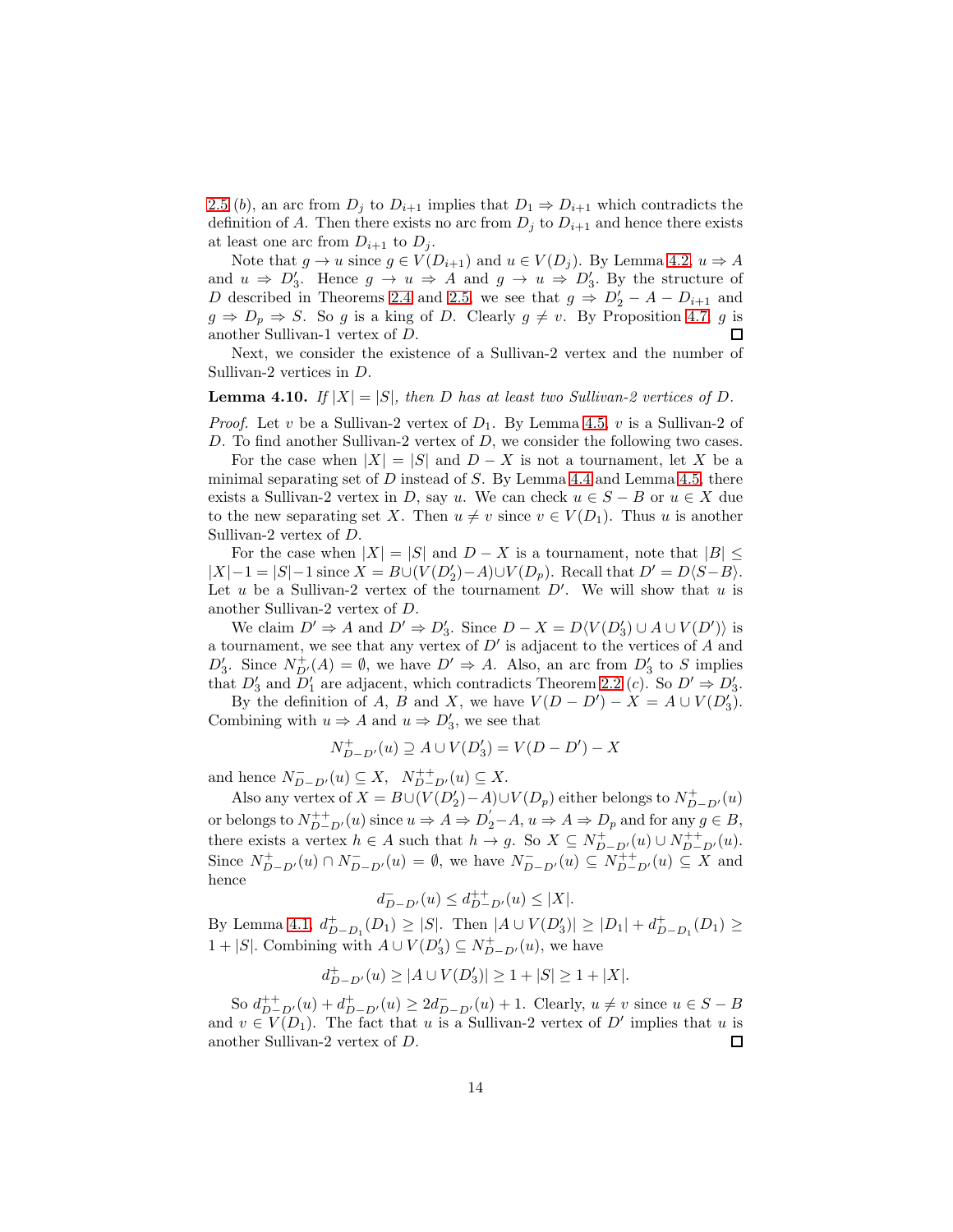[2.5](#page-5-2) (b), an arc from  $D_j$  to  $D_{i+1}$  implies that  $D_1 \Rightarrow D_{i+1}$  which contradicts the definition of A. Then there exists no arc from  $D_j$  to  $D_{i+1}$  and hence there exists at least one arc from  $D_{i+1}$  to  $D_j$ .

Note that  $g \to u$  since  $g \in V(D_{i+1})$  and  $u \in V(D_i)$ . By Lemma [4.2,](#page-9-0)  $u \Rightarrow A$ and  $u \Rightarrow D'_3$ . Hence  $g \rightarrow u \Rightarrow A$  and  $g \rightarrow u \Rightarrow D'_3$ . By the structure of D described in Theorems [2.4](#page-5-0) and [2.5,](#page-5-2) we see that  $g \Rightarrow D'_2 - A - D_{i+1}$  and  $g \Rightarrow D_p \Rightarrow S$ . So g is a king of D. Clearly  $g \neq v$ . By Proposition [4.7,](#page-12-0) g is another Sullivan-1 vertex of D.  $\Box$ 

Next, we consider the existence of a Sullivan-2 vertex and the number of Sullivan-2 vertices in D.

#### <span id="page-13-0"></span>**Lemma 4.10.** If  $|X| = |S|$ , then D has at least two Sullivan-2 vertices of D.

*Proof.* Let v be a Sullivan-2 vertex of  $D_1$ . By Lemma [4.5,](#page-11-0) v is a Sullivan-2 of D. To find another Sullivan-2 vertex of  $D$ , we consider the following two cases.

For the case when  $|X| = |S|$  and  $D - X$  is not a tournament, let X be a minimal separating set of  $D$  instead of  $S$ . By Lemma [4.4](#page-11-2) and Lemma [4.5,](#page-11-0) there exists a Sullivan-2 vertex in D, say u. We can check  $u \in S - B$  or  $u \in X$  due to the new separating set X. Then  $u \neq v$  since  $v \in V(D_1)$ . Thus u is another Sullivan-2 vertex of D.

For the case when  $|X| = |S|$  and  $D - X$  is a tournament, note that  $|B| \leq$  $|X|-1 = |S|-1$  since  $X = B \cup (V(D_2')-A) \cup V(D_p)$ . Recall that  $D' = D\langle S-B \rangle$ . Let  $u$  be a Sullivan-2 vertex of the tournament  $D'$ . We will show that  $u$  is another Sullivan-2 vertex of D.

We claim  $D' \Rightarrow A$  and  $D' \Rightarrow D'_3$ . Since  $D - X = D\langle V(D'_3) \cup A \cup V(D') \rangle$  is a tournament, we see that any vertex of  $D'$  is adjacent to the vertices of  $A$  and  $D'_3$ . Since  $N_{D'}^+(A) = \emptyset$ , we have  $D' \Rightarrow A$ . Also, an arc from  $D'_3$  to S implies that  $D'_3$  and  $D'_1$  are adjacent, which contradicts Theorem [2.2](#page-4-0) (c). So  $D' \Rightarrow D'_3$ .

By the definition of A, B and X, we have  $V(D - D') - X = A \cup V(D_3')$ . Combining with  $u \Rightarrow A$  and  $u \Rightarrow D'_3$ , we see that

$$
N_{D-D'}^+(u) \supseteq A \cup V(D_3') = V(D-D') - X
$$

and hence  $N_{D-D'}^-(u) \subseteq X$ ,  $N_{D-D'}^{++}(u) \subseteq X$ .

Also any vertex of  $X = B \cup (V(D_2') - A) \cup V(D_p)$  either belongs to  $N_{D-D'}^+(u)$ or belongs to  $N_{D-D'}^{++}(u)$  since  $u \Rightarrow A \Rightarrow D_2-A$ ,  $u \Rightarrow A \Rightarrow D_p$  and for any  $g \in B$ , there exists a vertex  $h \in A$  such that  $h \to g$ . So  $X \subseteq N^+_{D-D'}(u) \cup N^{++}_{D-D'}(u)$ . Since  $N^+_{D-D'}(u) \cap N^-_{D-D'}(u) = \emptyset$ , we have  $N^-_{D-D'}(u) \subseteq N^+_{D-D'}(u) \subseteq X$  and hence

$$
d^-_{D-D'}(u)\leq d^{++}_{D-D'}(u)\leq |X|.
$$

By Lemma [4.1,](#page-9-1)  $d_{D-D_1}^+(D_1) \geq |S|$ . Then  $|A \cup V(D_3')| \geq |D_1| + d_{D-D_1}^+(D_1) \geq$ 1 + |S|. Combining with  $A \cup V(D_3') \subseteq N_{D-D'}^+(u)$ , we have

$$
d^+_{D-D'}(u)\geq |A\cup V(D_3')|\geq 1+|S|\geq 1+|X|.
$$

So  $d_{D-D'}^{++}(u) + d_{D-D'}^{+}(u) \geq 2d_{D-D'}^{-}(u) + 1$ . Clearly,  $u \neq v$  since  $u \in S - B$ and  $v \in V(D_1)$ . The fact that u is a Sullivan-2 vertex of D' implies that u is another Sullivan-2 vertex of D.  $\Box$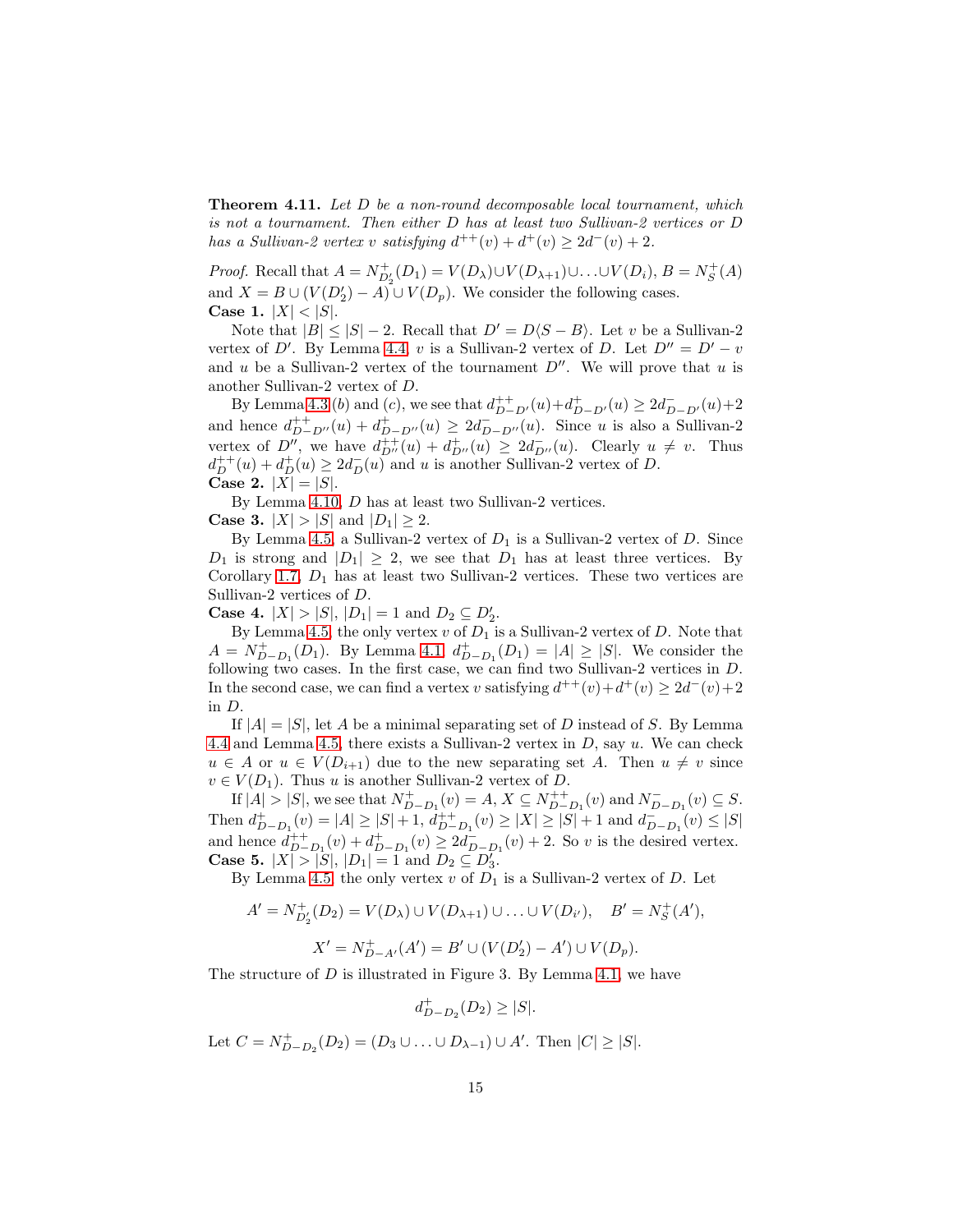<span id="page-14-0"></span>Theorem 4.11. *Let* D *be a non-round decomposable local tournament, which is not a tournament. Then either* D *has at least two Sullivan-2 vertices or* D *has a Sullivan-2 vertex* v *satisfying*  $d^{++}(v) + d^{+}(v) \geq 2d^{-}(v) + 2$ .

*Proof.* Recall that  $A = N_{D'_2}^+(D_1) = V(D_\lambda) \cup V(D_{\lambda+1}) \cup \ldots \cup V(D_i)$ ,  $B = N_S^+(A)$ and  $X = B \cup (V(D_2') - A) \cup V(D_p)$ . We consider the following cases. **Case 1.**  $|X| < |S|$ .

Note that  $|B| \leq |S| - 2$ . Recall that  $D' = D(S - B)$ . Let v be a Sullivan-2 vertex of D'. By Lemma [4.4,](#page-11-2) v is a Sullivan-2 vertex of D. Let  $D'' = D' - v$ and u be a Sullivan-2 vertex of the tournament  $D''$ . We will prove that u is another Sullivan-2 vertex of D.

By Lemma [4.3](#page-10-0) (b) and (c), we see that  $d_{D-D'}^{++}(u) + d_{D-D'}^{+}(u) \ge 2d_{D-D'}^{-}(u) + 2$ and hence  $d_{D-D''}^{++}(u) + d_{D-D''}^{+}(u) \geq 2d_{D-D''}^{-}(u)$ . Since u is also a Sullivan-2 vertex of  $D''$ , we have  $d_{D''}^{++}(u) + d_{D''}^{+}(u) \geq 2d_{D''}^{-}(u)$ . Clearly  $u \neq v$ . Thus  $d_D^{++}(u) + d_D^+(u) \geq 2d_D^-(u)$  and u is another Sullivan-2 vertex of D. **Case 2.**  $|X| = |S|$ .

By Lemma [4.10,](#page-13-0) D has at least two Sullivan-2 vertices. **Case 3.**  $|X| > |S|$  and  $|D_1| \geq 2$ .

By Lemma [4.5,](#page-11-0) a Sullivan-2 vertex of  $D_1$  is a Sullivan-2 vertex of D. Since  $D_1$  is strong and  $|D_1| \geq 2$ , we see that  $D_1$  has at least three vertices. By Corollary [1.7,](#page-3-0)  $D_1$  has at least two Sullivan-2 vertices. These two vertices are Sullivan-2 vertices of D.

**Case 4.**  $|X| > |S|, |D_1| = 1$  and  $D_2 \subseteq D'_2$ .

By Lemma [4.5,](#page-11-0) the only vertex  $v$  of  $D_1$  is a Sullivan-2 vertex of  $D$ . Note that  $A = N_{D-D_1}^+(D_1)$ . By Lemma [4.1,](#page-9-1)  $d_{D-D_1}^+(D_1) = |A| \geq |S|$ . We consider the following two cases. In the first case, we can find two Sullivan-2 vertices in D. In the second case, we can find a vertex v satisfying  $d^{++}(v) + d^+(v) \geq 2d^-(v) + 2$ in D.

If  $|A| = |S|$ , let A be a minimal separating set of D instead of S. By Lemma [4.4](#page-11-2) and Lemma [4.5,](#page-11-0) there exists a Sullivan-2 vertex in  $D$ , say  $u$ . We can check  $u \in A$  or  $u \in V(D_{i+1})$  due to the new separating set A. Then  $u \neq v$  since  $v \in V(D_1)$ . Thus u is another Sullivan-2 vertex of D.

If  $|A| > |S|$ , we see that  $N_{D-D_1}^+(v) = A, X \subseteq N_{D-D_1}^{++}(v)$  and  $N_{D-D_1}^-(v) \subseteq S$ . Then  $d_{D-D_1}^+(v) = |A| \geq |S| + 1$ ,  $d_{D-D_1}^+(v) \geq |X| \geq |S| + 1$  and  $d_{D-D_1}^-(v) \leq |S|$ and hence  $d_{D-D_1}^{++}(v) + d_{D-D_1}^{+}(v) \geq 2d_{D-D_1}^{-}(v) + 2$ . So v is the desired vertex. **Case 5.**  $|X| > |S|, |D_1| = 1$  and  $D_2 \subseteq D_3$ .

By Lemma [4.5,](#page-11-0) the only vertex v of  $D_1$  is a Sullivan-2 vertex of D. Let

$$
A' = N_{D'_2}^+(D_2) = V(D_\lambda) \cup V(D_{\lambda+1}) \cup \ldots \cup V(D_{i'}), \quad B' = N_S^+(A'),
$$
  

$$
X' = N_{D-A'}^+(A') = B' \cup (V(D'_2) - A') \cup V(D_p).
$$

The structure of  $D$  is illustrated in Figure 3. By Lemma [4.1,](#page-9-1) we have

$$
d_{D-D_2}^+(D_2) \ge |S|.
$$

Let  $C = N_{D-D_2}^+(D_2) = (D_3 \cup ... \cup D_{\lambda-1}) \cup A'$ . Then  $|C| \ge |S|$ .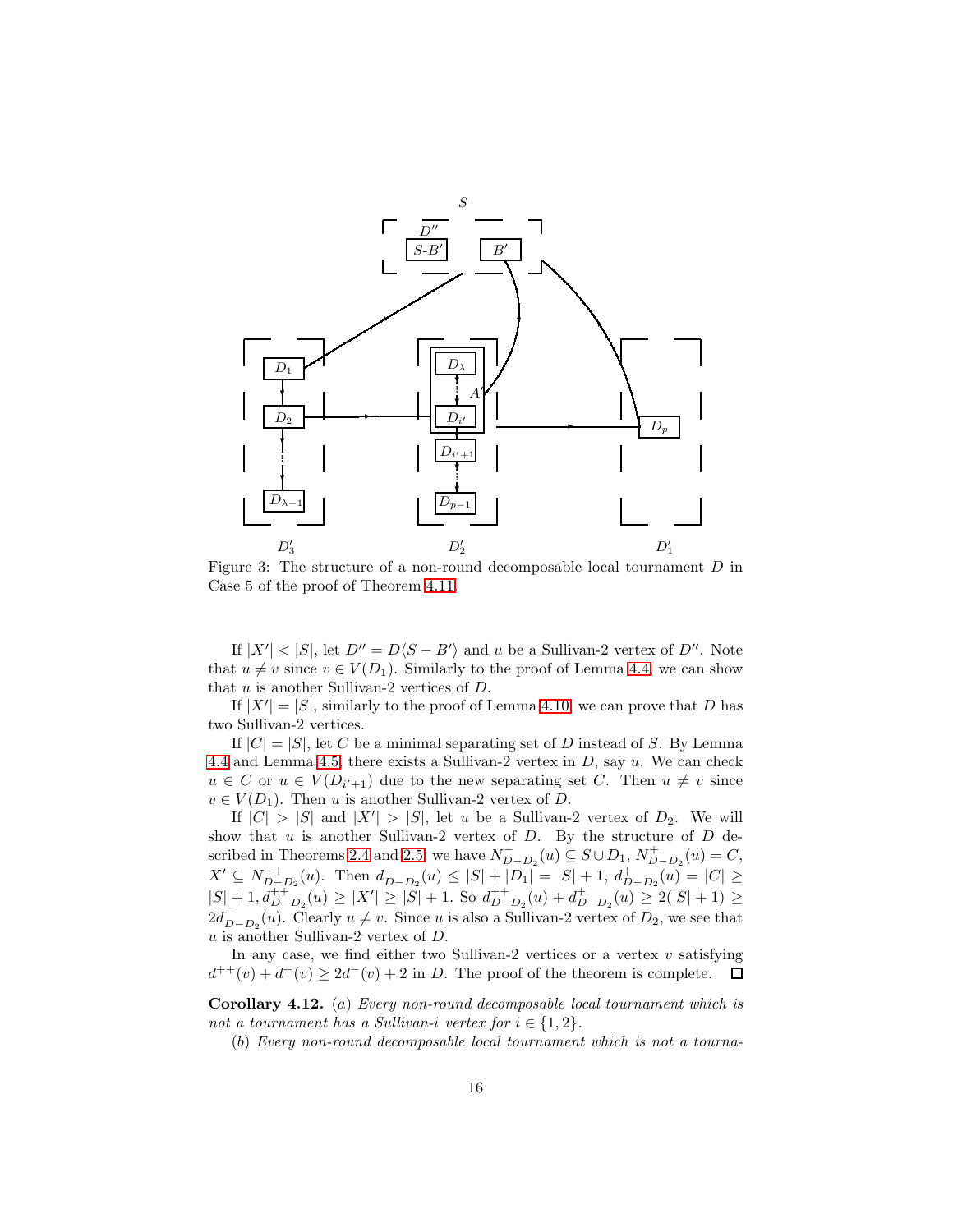

Figure 3: The structure of a non-round decomposable local tournament D in Case 5 of the proof of Theorem [4.11.](#page-14-0)

If  $|X'| < |S|$ , let  $D'' = D\langle S - B' \rangle$  and u be a Sullivan-2 vertex of  $D''$ . Note that  $u \neq v$  since  $v \in V(D_1)$ . Similarly to the proof of Lemma [4.4,](#page-11-2) we can show that u is another Sullivan-2 vertices of D.

If  $|X'| = |S|$ , similarly to the proof of Lemma [4.10,](#page-13-0) we can prove that D has two Sullivan-2 vertices.

If  $|C| = |S|$ , let C be a minimal separating set of D instead of S. By Lemma [4.4](#page-11-2) and Lemma [4.5,](#page-11-0) there exists a Sullivan-2 vertex in  $D$ , say  $u$ . We can check  $u \in C$  or  $u \in V(D_{i'+1})$  due to the new separating set C. Then  $u \neq v$  since  $v \in V(D_1)$ . Then u is another Sullivan-2 vertex of D.

If  $|C| > |S|$  and  $|X'| > |S|$ , let u be a Sullivan-2 vertex of  $D_2$ . We will show that  $u$  is another Sullivan-2 vertex of  $D$ . By the structure of  $D$  de-scribed in Theorems [2.4](#page-5-0) and [2.5,](#page-5-2) we have  $N_{D-D_2}^-(u) \subseteq S \cup D_1$ ,  $N_{D-D_2}^+(u) = C$ ,  $X' \subseteq N_{D-D_2}^{++}(u)$ . Then  $d_{D-D_2}^{-}(u) \leq |S| + |D_1| = |S| + 1$ ,  $d_{D-D_2}^{+}(u) = |C| \geq$  $|S| + 1, d_{D-D_2}^{++}(u) \ge |X'| \ge |S| + 1$ . So  $d_{D-D_2}^{++}(u) + d_{D-D_2}^{+}(u) \ge 2(|S| + 1) \ge$  $2d_{D-D_2}^-(u)$ . Clearly  $u \neq v$ . Since u is also a Sullivan-2 vertex of  $D_2$ , we see that u is another Sullivan-2 vertex of D.

In any case, we find either two Sullivan-2 vertices or a vertex  $v$  satisfying  $d^{++}(v) + d^+(v) \geq 2d^-(v) + 2$  in D. The proof of the theorem is complete.  $\Box$ 

<span id="page-15-0"></span>Corollary 4.12. (a) *Every non-round decomposable local tournament which is not a tournament has a Sullivan-i vertex for*  $i \in \{1, 2\}$ .

(b) *Every non-round decomposable local tournament which is not a tourna-*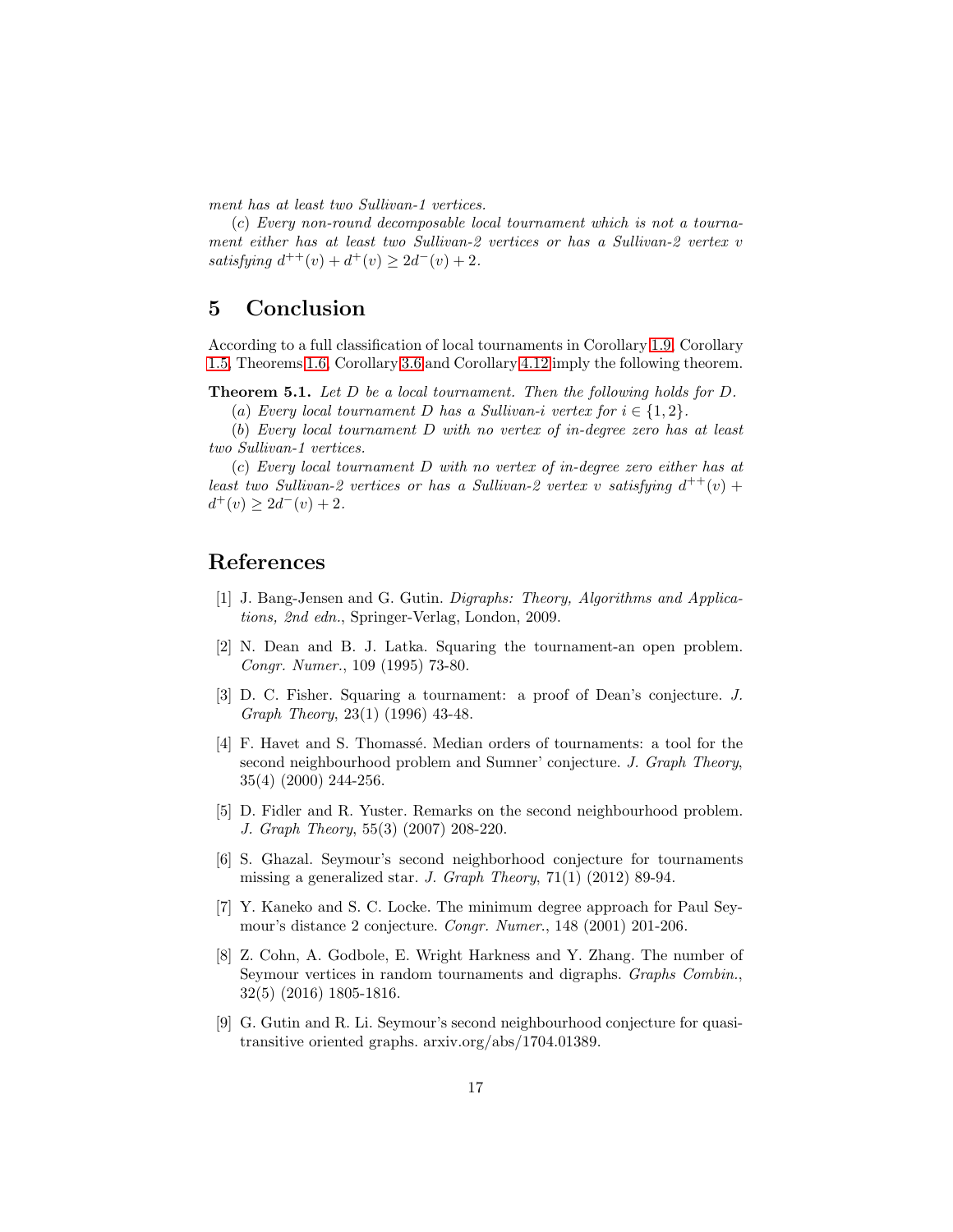*ment has at least two Sullivan-1 vertices.*

(c) *Every non-round decomposable local tournament which is not a tournament either has at least two Sullivan-2 vertices or has a Sullivan-2 vertex* v *satisfying*  $d^{++}(v) + d^+(v) \geq 2d^-(v) + 2$ *.* 

# 5 Conclusion

According to a full classification of local tournaments in Corollary [1.9,](#page-3-1) Corollary [1.5,](#page-2-2) Theorems [1.6,](#page-2-1) Corollary [3.6](#page-8-0) and Corollary [4.12](#page-15-0) imply the following theorem.

Theorem 5.1. *Let* D *be a local tournament. Then the following holds for* D*.*

(a) *Every local tournament* D *has a Sullivan-i vertex for*  $i \in \{1, 2\}$ *.* 

(b) *Every local tournament* D *with no vertex of in-degree zero has at least two Sullivan-1 vertices.*

(c) *Every local tournament* D *with no vertex of in-degree zero either has at least two Sullivan-2 vertices or has a Sullivan-2 vertex* v *satisfying*  $d^{++}(v)$  +  $d^+(v) \geq 2d^-(v) + 2.$ 

# <span id="page-16-0"></span>References

- [1] J. Bang-Jensen and G. Gutin. *Digraphs: Theory, Algorithms and Applications, 2nd edn.*, Springer-Verlag, London, 2009.
- <span id="page-16-1"></span>[2] N. Dean and B. J. Latka. Squaring the tournament-an open problem. *Congr. Numer.*, 109 (1995) 73-80.
- <span id="page-16-2"></span>[3] D. C. Fisher. Squaring a tournament: a proof of Dean's conjecture. *J. Graph Theory*, 23(1) (1996) 43-48.
- <span id="page-16-3"></span>[4] F. Havet and S. Thomassé. Median orders of tournaments: a tool for the second neighbourhood problem and Sumner' conjecture. *J. Graph Theory*, 35(4) (2000) 244-256.
- <span id="page-16-4"></span>[5] D. Fidler and R. Yuster. Remarks on the second neighbourhood problem. *J. Graph Theory*, 55(3) (2007) 208-220.
- <span id="page-16-5"></span>[6] S. Ghazal. Seymour's second neighborhood conjecture for tournaments missing a generalized star. *J. Graph Theory*, 71(1) (2012) 89-94.
- <span id="page-16-6"></span>[7] Y. Kaneko and S. C. Locke. The minimum degree approach for Paul Seymour's distance 2 conjecture. *Congr. Numer*., 148 (2001) 201-206.
- <span id="page-16-7"></span>[8] Z. Cohn, A. Godbole, E. Wright Harkness and Y. Zhang. The number of Seymour vertices in random tournaments and digraphs. *Graphs Combin.*, 32(5) (2016) 1805-1816.
- <span id="page-16-8"></span>[9] G. Gutin and R. Li. Seymour's second neighbourhood conjecture for quasitransitive oriented graphs. arxiv.org/abs/1704.01389.